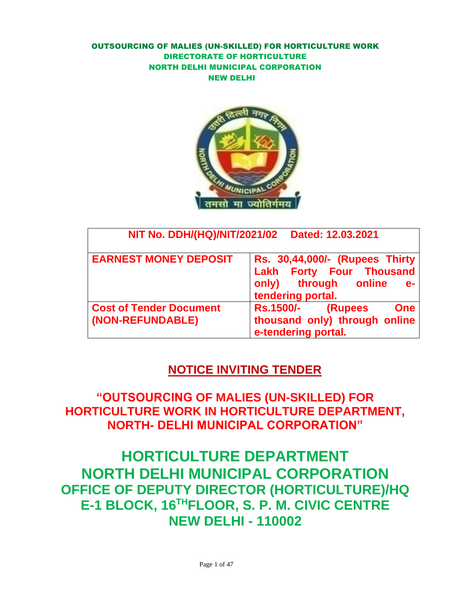

| NIT No. DDH/(HQ)/NIT/2021/02                       | Dated: 12.03.2021                                                                                             |
|----------------------------------------------------|---------------------------------------------------------------------------------------------------------------|
| <b>EARNEST MONEY DEPOSIT</b>                       | Rs. 30,44,000/- (Rupees Thirty<br>Lakh Forty Four Thousand<br>only) through online<br>e-<br>tendering portal. |
| <b>Cost of Tender Document</b><br>(NON-REFUNDABLE) | <b>Rs.1500/-</b> (Rupees<br><b>One</b><br>thousand only) through online<br>e-tendering portal.                |

## **NOTICE INVITING TENDER**

**"OUTSOURCING OF MALIES (UN-SKILLED) FOR HORTICULTURE WORK IN HORTICULTURE DEPARTMENT, NORTH- DELHI MUNICIPAL CORPORATION"**

**HORTICULTURE DEPARTMENT NORTH DELHI MUNICIPAL CORPORATION OFFICE OF DEPUTY DIRECTOR (HORTICULTURE)/HQ E-1 BLOCK, 16THFLOOR, S. P. M. CIVIC CENTRE NEW DELHI - 110002**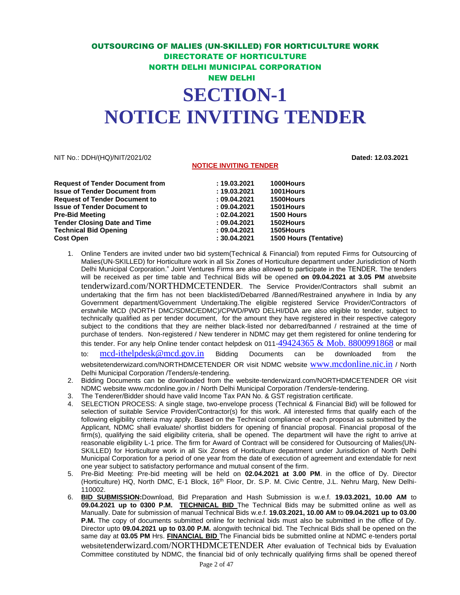### OUTSOURCING OF MALIES (UN-SKILLED) FOR HORTICULTURE WORK DIRECTORATE OF HORTICULTURE NORTH DELHI MUNICIPAL CORPORATION NEW DELHI **SECTION-1 NOTICE INVITING TENDER**

#### NIT No.: DDH/(HQ)/NIT/2021/02 **Dated: 12.03.2021**

#### **NOTICE INVITING TENDER**

| <b>Request of Tender Document from</b> | : 19.03.2021 | 1000Hours                     |
|----------------------------------------|--------------|-------------------------------|
| <b>Issue of Tender Document from</b>   | : 19.03.2021 | 1001Hours                     |
| <b>Request of Tender Document to</b>   | : 09.04.2021 | 1500Hours                     |
| <b>Issue of Tender Document to</b>     | : 09.04.2021 | <b>1501Hours</b>              |
| <b>Pre-Bid Meeting</b>                 | : 02.04.2021 | 1500 Hours                    |
| <b>Tender Closing Date and Time</b>    | : 09.04.2021 | 1502Hours                     |
| <b>Technical Bid Opening</b>           | : 09.04.2021 | <b>1505Hours</b>              |
| <b>Cost Open</b>                       | : 30.04.2021 | <b>1500 Hours (Tentative)</b> |
|                                        |              |                               |

1. Online Tenders are invited under two bid system(Technical & Financial) from reputed Firms for Outsourcing of Malies(UN-SKILLED) for Horticulture work in all Six Zones of Horticulture department under Jurisdiction of North Delhi Municipal Corporation." Joint Ventures Firms are also allowed to participate in the TENDER. The tenders will be received as per time table and Technical Bids will be opened **on 09.04.2021 at 3.05 PM** atwebsite tenderwizard.com/NORTHDMCETENDER. The Service Provider/Contractors shall submit an undertaking that the firm has not been blacklisted/Debarred /Banned/Restrained anywhere in India by any Government department/Government Undertaking.The eligible registered Service Provider/Contractors of erstwhile MCD (NORTH DMC/SDMC/EDMC)/CPWD/PWD DELHI/DDA are also eligible to tender, subject to technically qualified as per tender document, for the amount they have registered in their respective category subject to the conditions that they are neither black-listed nor debarred/banned / restrained at the time of purchase of tenders. Non-registered / New tenderer in NDMC may get them registered for online tendering for this tender. For any help Online tender contact helpdesk on 011-[49424365 & Mob. 8800991868](mailto:49424365%20&%20Mob.%208800991868) or mail to: [mcd-ithelpdesk@mcd.gov.in](mailto:mcd-ithelpdesk@mcd.gov.in) Bidding Documents can be downloaded from the

websitetenderwizard.com/NORTHDMCETENDER OR visit NDMC website [www.mcdonline.nic.in](http://www.mcdonline.nic.in/) / North Delhi Municipal Corporation /Tenders/e-tendering.

- 2. Bidding Documents can be downloaded from the website-tenderwizard.com/NORTHDMCETENDER OR visit NDMC websit[e www.mcdonline.gov.in](http://www.mcdonline.gov.in/) / North Delhi Municipal Corporation /Tenders/e-tendering.
- 3. The Tenderer/Bidder should have valid Income Tax PAN No. & GST registration certificate.
- 4. SELECTION PROCESS: A single stage, two-envelope process (Technical & Financial Bid) will be followed for selection of suitable Service Provider/Contractor(s) for this work. All interested firms that qualify each of the following eligibility criteria may apply. Based on the Technical compliance of each proposal as submitted by the Applicant, NDMC shall evaluate/ shortlist bidders for opening of financial proposal. Financial proposal of the firm(s), qualifying the said eligibility criteria, shall be opened. The department will have the right to arrive at reasonable eligibility L-1 price. The firm for Award of Contract will be considered for Outsourcing of Malies(UN-SKILLED) for Horticulture work in all Six Zones of Horticulture department under Jurisdiction of North Delhi Municipal Corporation for a period of one year from the date of execution of agreement and extendable for next one year subject to satisfactory performance and mutual consent of the firm.
- 5. Pre-Bid Meeting: Pre-bid meeting will be held on **02.04.2021 at 3.00 PM**. in the office of Dy. Director (Horticulture) HQ, North DMC, E-1 Block, 16th Floor, Dr. S.P. M. Civic Centre, J.L. Nehru Marg, New Delhi-110002.
- 6. **BID SUBMISSION:**Download, Bid Preparation and Hash Submission is w.e.f. **19.03.2021, 10.00 AM** to **09.04.2021 up to 0300 P.M. TECHNICAL BID** The Technical Bids may be submitted online as well as Manually. Date for submission of manual Technical Bids w.e.f. **19.03.2021, 10.00 AM** to **09.04.2021 up to 03.00 P.M.** The copy of documents submitted online for technical bids must also be submitted in the office of Dy. Director upto **09.04.2021 up to 03.00 P.M.** alongwith technical bid. The Technical Bids shall be opened on the same day at **03.05 PM** Hrs. **FINANCIAL BID** The Financial bids be submitted online at NDMC e-tenders portal websitetenderwizard.com/NORTHDMCETENDER After evaluation of Technical bids by Evaluation Committee constituted by NDMC, the financial bid of only technically qualifying firms shall be opened thereof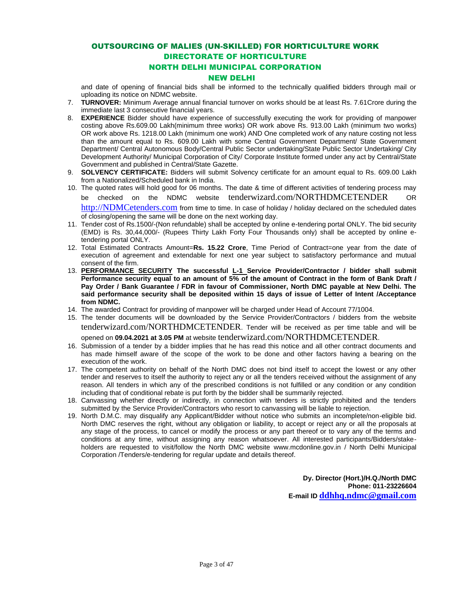#### OUTSOURCING OF MALIES (UN-SKILLED) FOR HORTICULTURE WORK DIRECTORATE OF HORTICULTURE

#### NORTH DELHI MUNICIPAL CORPORATION

#### NEW DELHI

and date of opening of financial bids shall be informed to the technically qualified bidders through mail or uploading its notice on NDMC website.

- 7. **TURNOVER:** Minimum Average annual financial turnover on works should be at least Rs. 7.61Crore during the immediate last 3 consecutive financial years.
- 8. **EXPERIENCE** Bidder should have experience of successfully executing the work for providing of manpower costing above Rs.609.00 Lakh(minimum three works) OR work above Rs. 913.00 Lakh (minimum two works) OR work above Rs. 1218.00 Lakh (minimum one work) AND One completed work of any nature costing not less than the amount equal to Rs. 609.00 Lakh with some Central Government Department/ State Government Department/ Central Autonomous Body/Central Public Sector undertaking/State Public Sector Undertaking/ City Development Authority/ Municipal Corporation of City/ Corporate Institute formed under any act by Central/State Government and published in Central/State Gazette.
- 9. **SOLVENCY CERTIFICATE:** Bidders will submit Solvency certificate for an amount equal to Rs. 609.00 Lakh from a Nationalized/Scheduled bank in India.
- 10. The quoted rates will hold good for 06 months. The date & time of different activities of tendering process may be checked on the NDMC website tenderwizard.com/NORTHDMCETENDER OR [http://NDMCetenders.com](http://ndmcetenders.com/) from time to time. In case of holiday / holiday declared on the scheduled dates of closing/opening the same will be done on the next working day.
- 11. Tender cost of Rs.1500/-(Non refundable) shall be accepted by online e-tendering portal ONLY. The bid security (EMD) is Rs. 30,44,000/- (Rupees Thirty Lakh Forty Four Thousands only) shall be accepted by online etendering portal ONLY.
- 12. Total Estimated Contracts Amount=**Rs. 15.22 Crore**, Time Period of Contract=one year from the date of execution of agreement and extendable for next one year subject to satisfactory performance and mutual consent of the firm.
- 13. **PERFORMANCE SECURITY The successful L-1 Service Provider/Contractor / bidder shall submit Performance security equal to an amount of 5% of the amount of Contract in the form of Bank Draft / Pay Order / Bank Guarantee / FDR in favour of Commissioner, North DMC payable at New Delhi. The said performance security shall be deposited within 15 days of issue of Letter of Intent /Acceptance from NDMC.**
- 14. The awarded Contract for providing of manpower will be charged under Head of Account 77/1004.
- 15. The tender documents will be downloaded by the Service Provider/Contractors / bidders from the website tenderwizard.com/NORTHDMCETENDER. Tender will be received as per time table and will be opened on **09.04.2021 at 3.05 PM** at website tenderwizard.com/NORTHDMCETENDER.
- 16. Submission of a tender by a bidder implies that he has read this notice and all other contract documents and has made himself aware of the scope of the work to be done and other factors having a bearing on the execution of the work.
- 17. The competent authority on behalf of the North DMC does not bind itself to accept the lowest or any other tender and reserves to itself the authority to reject any or all the tenders received without the assignment of any reason. All tenders in which any of the prescribed conditions is not fulfilled or any condition or any condition including that of conditional rebate is put forth by the bidder shall be summarily rejected.
- 18. Canvassing whether directly or indirectly, in connection with tenders is strictly prohibited and the tenders submitted by the Service Provider/Contractors who resort to canvassing will be liable to rejection.
- 19. North D.M.C. may disqualify any Applicant/Bidder without notice who submits an incomplete/non-eligible bid. North DMC reserves the right, without any obligation or liability, to accept or reject any or all the proposals at any stage of the process, to cancel or modify the process or any part thereof or to vary any of the terms and conditions at any time, without assigning any reason whatsoever. All interested participants/Bidders/stakeholders are requested to visit/follow the North DMC website [www.mcdonline.gov.in](http://www.mcdonline.gov.in/) / North Delhi Municipal Corporation /Tenders/e-tendering for regular update and details thereof.

**Dy. Director (Hort.)/H.Q./North DMC Phone: 011-23226604 E-mail ID [ddhhq.ndmc@gmail.com](mailto:ddhhq.ndmc@gmail.com)**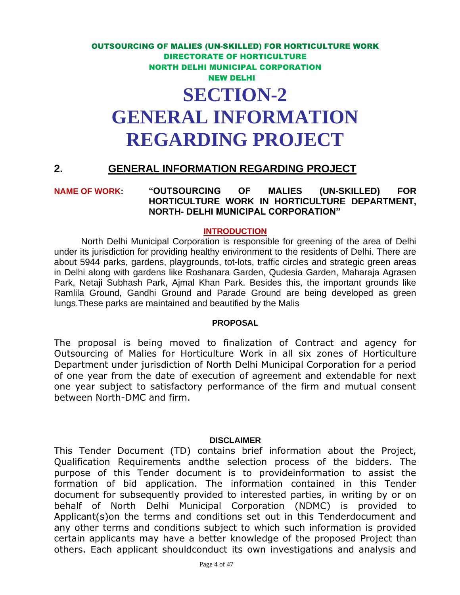## **GENERAL INFORMATION REGARDING PROJECT**

#### **2. GENERAL INFORMATION REGARDING PROJECT**

#### **NAME OF WORK: "OUTSOURCING OF MALIES (UN-SKILLED) FOR HORTICULTURE WORK IN HORTICULTURE DEPARTMENT, NORTH- DELHI MUNICIPAL CORPORATION"**

#### **INTRODUCTION**

North Delhi Municipal Corporation is responsible for greening of the area of Delhi under its jurisdiction for providing healthy environment to the residents of Delhi. There are about 5944 parks, gardens, playgrounds, tot-lots, traffic circles and strategic green areas in Delhi along with gardens like Roshanara Garden, Qudesia Garden, Maharaja Agrasen Park, Netaji Subhash Park, Ajmal Khan Park. Besides this, the important grounds like Ramlila Ground, Gandhi Ground and Parade Ground are being developed as green lungs.These parks are maintained and beautified by the Malis

#### **PROPOSAL**

The proposal is being moved to finalization of Contract and agency for Outsourcing of Malies for Horticulture Work in all six zones of Horticulture Department under jurisdiction of North Delhi Municipal Corporation for a period of one year from the date of execution of agreement and extendable for next one year subject to satisfactory performance of the firm and mutual consent between North-DMC and firm.

#### **DISCLAIMER**

This Tender Document (TD) contains brief information about the Project, Qualification Requirements andthe selection process of the bidders. The purpose of this Tender document is to provideinformation to assist the formation of bid application. The information contained in this Tender document for subsequently provided to interested parties, in writing by or on behalf of North Delhi Municipal Corporation (NDMC) is provided to Applicant(s)on the terms and conditions set out in this Tenderdocument and any other terms and conditions subject to which such information is provided certain applicants may have a better knowledge of the proposed Project than others. Each applicant shouldconduct its own investigations and analysis and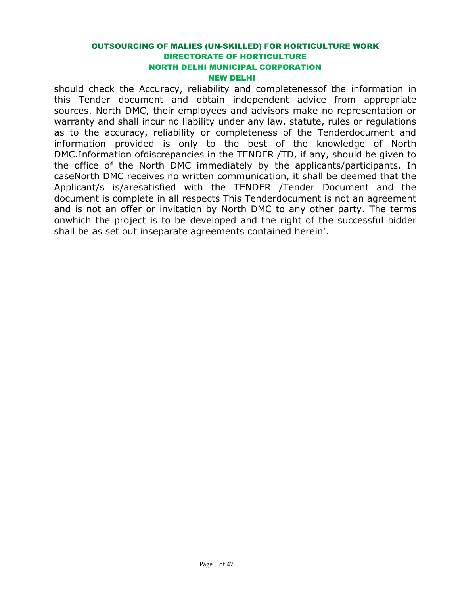should check the Accuracy, reliability and completenessof the information in this Tender document and obtain independent advice from appropriate sources. North DMC, their employees and advisors make no representation or warranty and shall incur no liability under any law, statute, rules or regulations as to the accuracy, reliability or completeness of the Tenderdocument and information provided is only to the best of the knowledge of North DMC.Information ofdiscrepancies in the TENDER /TD, if any, should be given to the office of the North DMC immediately by the applicants/participants. In caseNorth DMC receives no written communication, it shall be deemed that the Applicant/s is/aresatisfied with the TENDER /Tender Document and the document is complete in all respects This Tenderdocument is not an agreement and is not an offer or invitation by North DMC to any other party. The terms onwhich the project is to be developed and the right of the successful bidder shall be as set out inseparate agreements contained herein'.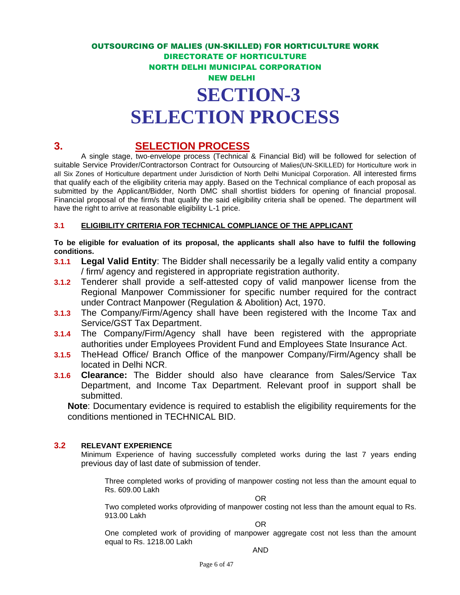## **3. SELECTION PROCESS**

A single stage, two-envelope process (Technical & Financial Bid) will be followed for selection of suitable Service Provider/Contractorson Contract for Outsourcing of Malies(UN-SKILLED) for Horticulture work in all Six Zones of Horticulture department under Jurisdiction of North Delhi Municipal Corporation. All interested firms that qualify each of the eligibility criteria may apply. Based on the Technical compliance of each proposal as submitted by the Applicant/Bidder, North DMC shall shortlist bidders for opening of financial proposal. Financial proposal of the firm/s that qualify the said eligibility criteria shall be opened. The department will have the right to arrive at reasonable eligibility L-1 price.

#### **3.1 ELIGIBILITY CRITERIA FOR TECHNICAL COMPLIANCE OF THE APPLICANT**

**To be eligible for evaluation of its proposal, the applicants shall also have to fulfil the following conditions.** 

- **3.1.1 Legal Valid Entity**: The Bidder shall necessarily be a legally valid entity a company / firm/ agency and registered in appropriate registration authority.
- **3.1.2** Tenderer shall provide a self-attested copy of valid manpower license from the Regional Manpower Commissioner for specific number required for the contract under Contract Manpower (Regulation & Abolition) Act, 1970.
- **3.1.3** The Company/Firm/Agency shall have been registered with the Income Tax and Service/GST Tax Department.
- **3.1.4** The Company/Firm/Agency shall have been registered with the appropriate authorities under Employees Provident Fund and Employees State Insurance Act.
- **3.1.5** TheHead Office/ Branch Office of the manpower Company/Firm/Agency shall be located in Delhi NCR.
- **3.1.6 Clearance:** The Bidder should also have clearance from Sales/Service Tax Department, and Income Tax Department. Relevant proof in support shall be submitted.

**Note**: Documentary evidence is required to establish the eligibility requirements for the conditions mentioned in TECHNICAL BID.

#### **3.2 RELEVANT EXPERIENCE**

Minimum Experience of having successfully completed works during the last 7 years ending previous day of last date of submission of tender.

Three completed works of providing of manpower costing not less than the amount equal to Rs. 609.00 Lakh

OR

Two completed works ofproviding of manpower costing not less than the amount equal to Rs. 913.00 Lakh

OR

One completed work of providing of manpower aggregate cost not less than the amount equal to Rs. 1218.00 Lakh

#### AND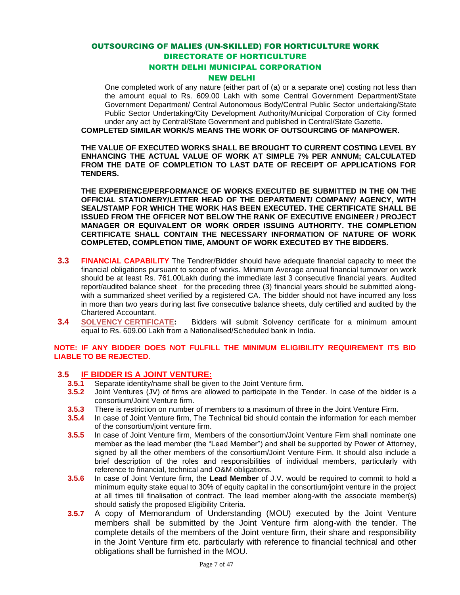One completed work of any nature (either part of (a) or a separate one) costing not less than the amount equal to Rs. 609.00 Lakh with some Central Government Department/State Government Department/ Central Autonomous Body/Central Public Sector undertaking/State Public Sector Undertaking/City Development Authority/Municipal Corporation of City formed under any act by Central/State Government and published in Central/State Gazette.

**COMPLETED SIMILAR WORK/S MEANS THE WORK OF OUTSOURCING OF MANPOWER.**

**THE VALUE OF EXECUTED WORKS SHALL BE BROUGHT TO CURRENT COSTING LEVEL BY ENHANCING THE ACTUAL VALUE OF WORK AT SIMPLE 7% PER ANNUM; CALCULATED FROM THE DATE OF COMPLETION TO LAST DATE OF RECEIPT OF APPLICATIONS FOR TENDERS.**

**THE EXPERIENCE/PERFORMANCE OF WORKS EXECUTED BE SUBMITTED IN THE ON THE OFFICIAL STATIONERY/LETTER HEAD OF THE DEPARTMENT/ COMPANY/ AGENCY, WITH SEAL/STAMP FOR WHICH THE WORK HAS BEEN EXECUTED. THE CERTIFICATE SHALL BE ISSUED FROM THE OFFICER NOT BELOW THE RANK OF EXECUTIVE ENGINEER / PROJECT MANAGER OR EQUIVALENT OR WORK ORDER ISSUING AUTHORITY. THE COMPLETION CERTIFICATE SHALL CONTAIN THE NECESSARY INFORMATION OF NATURE OF WORK COMPLETED, COMPLETION TIME, AMOUNT OF WORK EXECUTED BY THE BIDDERS.**

- **3.3 FINANCIAL CAPABILITY** The Tendrer/Bidder should have adequate financial capacity to meet the financial obligations pursuant to scope of works. Minimum Average annual financial turnover on work should be at least Rs. 761.00Lakh during the immediate last 3 consecutive financial years. Audited report/audited balance sheet for the preceding three (3) financial years should be submitted alongwith a summarized sheet verified by a registered CA. The bidder should not have incurred any loss in more than two years during last five consecutive balance sheets, duly certified and audited by the Chartered Accountant.
- **3.4 SOLVENCY CERTIFICATE:** Bidders will submit Solvency certificate for a minimum amount equal to Rs. 609.00 Lakh from a Nationalised/Scheduled bank in India.

#### **NOTE: IF ANY BIDDER DOES NOT FULFILL THE MINIMUM ELIGIBILITY REQUIREMENT ITS BID LIABLE TO BE REJECTED.**

#### **3.5 IF BIDDER IS A JOINT VENTURE:**

- **3.5.1** Separate identity/name shall be given to the Joint Venture firm.
- **3.5.2** Joint Ventures (JV) of firms are allowed to participate in the Tender. In case of the bidder is a consortium/Joint Venture firm.
- **3.5.3** There is restriction on number of members to a maximum of three in the Joint Venture Firm.
- **3.5.4** In case of Joint Venture firm, The Technical bid should contain the information for each member of the consortium/joint venture firm.
- **3.5.5** In case of Joint Venture firm, Members of the consortium/Joint Venture Firm shall nominate one member as the lead member (the "Lead Member") and shall be supported by Power of Attorney, signed by all the other members of the consortium/Joint Venture Firm. It should also include a brief description of the roles and responsibilities of individual members, particularly with reference to financial, technical and O&M obligations.
- **3.5.6** In case of Joint Venture firm, the **Lead Member** of J.V. would be required to commit to hold a minimum equity stake equal to 30% of equity capital in the consortium/joint venture in the project at all times till finalisation of contract. The lead member along-with the associate member(s) should satisfy the proposed Eligibility Criteria.
- **3.5.7** A copy of Memorandum of Understanding (MOU) executed by the Joint Venture members shall be submitted by the Joint Venture firm along-with the tender. The complete details of the members of the Joint venture firm, their share and responsibility in the Joint Venture firm etc. particularly with reference to financial technical and other obligations shall be furnished in the MOU.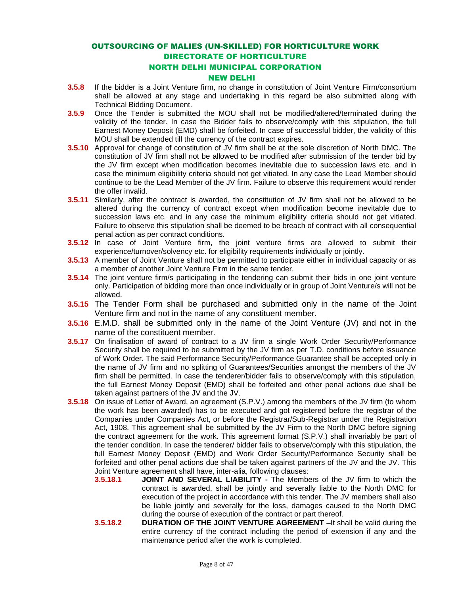#### NEW DELHI

- **3.5.8** If the bidder is a Joint Venture firm, no change in constitution of Joint Venture Firm/consortium shall be allowed at any stage and undertaking in this regard be also submitted along with Technical Bidding Document.
- **3.5.9** Once the Tender is submitted the MOU shall not be modified/altered/terminated during the validity of the tender. In case the Bidder fails to observe/comply with this stipulation, the full Earnest Money Deposit (EMD) shall be forfeited. In case of successful bidder, the validity of this MOU shall be extended till the currency of the contract expires.
- **3.5.10** Approval for change of constitution of JV firm shall be at the sole discretion of North DMC. The constitution of JV firm shall not be allowed to be modified after submission of the tender bid by the JV firm except when modification becomes inevitable due to succession laws etc. and in case the minimum eligibility criteria should not get vitiated. In any case the Lead Member should continue to be the Lead Member of the JV firm. Failure to observe this requirement would render the offer invalid.
- **3.5.11** Similarly, after the contract is awarded, the constitution of JV firm shall not be allowed to be altered during the currency of contract except when modification become inevitable due to succession laws etc. and in any case the minimum eligibility criteria should not get vitiated. Failure to observe this stipulation shall be deemed to be breach of contract with all consequential penal action as per contract conditions.
- **3.5.12** In case of Joint Venture firm, the joint venture firms are allowed to submit their experience/turnover/solvency etc. for eligibility requirements individually or jointly.
- **3.5.13** A member of Joint Venture shall not be permitted to participate either in individual capacity or as a member of another Joint Venture Firm in the same tender.
- **3.5.14** The joint venture firm/s participating in the tendering can submit their bids in one joint venture only. Participation of bidding more than once individually or in group of Joint Venture/s will not be allowed.
- **3.5.15** The Tender Form shall be purchased and submitted only in the name of the Joint Venture firm and not in the name of any constituent member.
- **3.5.16** E.M.D. shall be submitted only in the name of the Joint Venture (JV) and not in the name of the constituent member.
- **3.5.17** On finalisation of award of contract to a JV firm a single Work Order Security/Performance Security shall be required to be submitted by the JV firm as per T.D. conditions before issuance of Work Order. The said Performance Security/Performance Guarantee shall be accepted only in the name of JV firm and no splitting of Guarantees/Securities amongst the members of the JV firm shall be permitted. In case the tenderer/bidder fails to observe/comply with this stipulation, the full Earnest Money Deposit (EMD) shall be forfeited and other penal actions due shall be taken against partners of the JV and the JV.
- **3.5.18** On issue of Letter of Award, an agreement (S.P.V.) among the members of the JV firm (to whom the work has been awarded) has to be executed and got registered before the registrar of the Companies under Companies Act, or before the Registrar/Sub-Registrar under the Registration Act, 1908. This agreement shall be submitted by the JV Firm to the North DMC before signing the contract agreement for the work. This agreement format (S.P.V.) shall invariably be part of the tender condition. In case the tenderer/ bidder fails to observe/comply with this stipulation, the full Earnest Money Deposit (EMD) and Work Order Security/Performance Security shall be forfeited and other penal actions due shall be taken against partners of the JV and the JV. This Joint Venture agreement shall have, inter-alia, following clauses:
	- **3.5.18.1 JOINT AND SEVERAL LIABILITY -** The Members of the JV firm to which the contract is awarded, shall be jointly and severally liable to the North DMC for execution of the project in accordance with this tender. The JV members shall also be liable jointly and severally for the loss, damages caused to the North DMC during the course of execution of the contract or part thereof.
	- **3.5.18.2 DURATION OF THE JOINT VENTURE AGREEMENT –**It shall be valid during the entire currency of the contract including the period of extension if any and the maintenance period after the work is completed.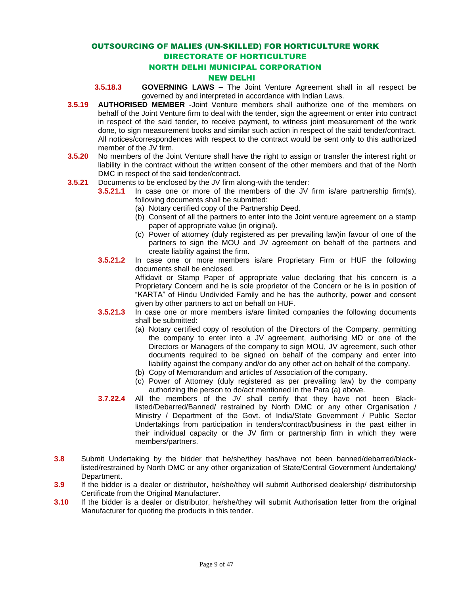#### OUTSOURCING OF MALIES (UN-SKILLED) FOR HORTICULTURE WORK DIRECTORATE OF HORTICULTURE

#### NORTH DELHI MUNICIPAL CORPORATION

#### NEW DELHI

- **3.5.18.3 GOVERNING LAWS –** The Joint Venture Agreement shall in all respect be governed by and interpreted in accordance with Indian Laws.
- **3.5.19 AUTHORISED MEMBER -**Joint Venture members shall authorize one of the members on behalf of the Joint Venture firm to deal with the tender, sign the agreement or enter into contract in respect of the said tender, to receive payment, to witness joint measurement of the work done, to sign measurement books and similar such action in respect of the said tender/contract. All notices/correspondences with respect to the contract would be sent only to this authorized member of the JV firm.
- **3.5.20** No members of the Joint Venture shall have the right to assign or transfer the interest right or liability in the contract without the written consent of the other members and that of the North DMC in respect of the said tender/contract.
- **3.5.21** Documents to be enclosed by the JV firm along-with the tender:
	- **3.5.21.1** In case one or more of the members of the JV firm is/are partnership firm(s), following documents shall be submitted:
		- (a) Notary certified copy of the Partnership Deed.
		- (b) Consent of all the partners to enter into the Joint venture agreement on a stamp paper of appropriate value (in original).
		- (c) Power of attorney (duly registered as per prevailing law)in favour of one of the partners to sign the MOU and JV agreement on behalf of the partners and create liability against the firm.
	- **3.5.21.2** In case one or more members is/are Proprietary Firm or HUF the following documents shall be enclosed. Affidavit or Stamp Paper of appropriate value declaring that his concern is a Proprietary Concern and he is sole proprietor of the Concern or he is in position of "KARTA" of Hindu Undivided Family and he has the authority, power and consent
	- given by other partners to act on behalf on HUF. **3.5.21.3** In case one or more members is/are limited companies the following documents shall be submitted:
		- (a) Notary certified copy of resolution of the Directors of the Company, permitting the company to enter into a JV agreement, authorising MD or one of the Directors or Managers of the company to sign MOU, JV agreement, such other documents required to be signed on behalf of the company and enter into liability against the company and/or do any other act on behalf of the company.
		- (b) Copy of Memorandum and articles of Association of the company.
		- (c) Power of Attorney (duly registered as per prevailing law) by the company authorizing the person to do/act mentioned in the Para (a) above.
	- **3.7.22.4** All the members of the JV shall certify that they have not been Blacklisted/Debarred/Banned/ restrained by North DMC or any other Organisation / Ministry / Department of the Govt. of India/State Government / Public Sector Undertakings from participation in tenders/contract/business in the past either in their individual capacity or the JV firm or partnership firm in which they were members/partners.
- **3.8** Submit Undertaking by the bidder that he/she/they has/have not been banned/debarred/blacklisted/restrained by North DMC or any other organization of State/Central Government /undertaking/ Department.
- **3.9** If the bidder is a dealer or distributor, he/she/they will submit Authorised dealership/ distributorship Certificate from the Original Manufacturer.
- **3.10** If the bidder is a dealer or distributor, he/she/they will submit Authorisation letter from the original Manufacturer for quoting the products in this tender.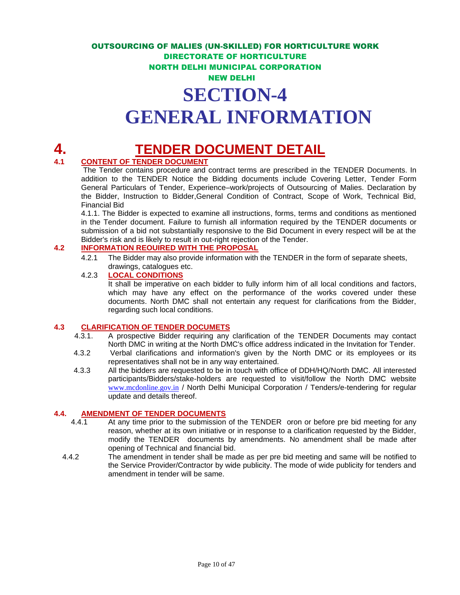# **GENERAL INFORMATION**

## **4. TENDER DOCUMENT DETAIL**

#### **4.1 CONTENT OF TENDER DOCUMENT**

The Tender contains procedure and contract terms are prescribed in the TENDER Documents. In addition to the TENDER Notice the Bidding documents include Covering Letter, Tender Form General Particulars of Tender, Experience–work/projects of Outsourcing of Malies. Declaration by the Bidder, Instruction to Bidder,General Condition of Contract, Scope of Work, Technical Bid, Financial Bid

4.1.1. The Bidder is expected to examine all instructions, forms, terms and conditions as mentioned in the Tender document. Failure to furnish all information required by the TENDER documents or submission of a bid not substantially responsive to the Bid Document in every respect will be at the Bidder's risk and is likely to result in out-right rejection of the Tender.

#### **4.2 INFORMATION REOUIRED WITH THE PROPOSAL**

4.2.1 The Bidder may also provide information with the TENDER in the form of separate sheets, drawings, catalogues etc.

#### 4.2.3 **LOCAL CONDITIONS**

It shall be imperative on each bidder to fully inform him of all local conditions and factors, which may have any effect on the performance of the works covered under these documents. North DMC shall not entertain any request for clarifications from the Bidder, regarding such local conditions.

#### **4.3 CLARIFICATION OF TENDER DOCUMETS**

- 4.3.1. A prospective Bidder requiring any clarification of the TENDER Documents may contact North DMC in writing at the North DMC's office address indicated in the Invitation for Tender.
- 4.3.2 Verbal clarifications and information's given by the North DMC or its employees or its representatives shall not be in any way entertained.
- 4.3.3 All the bidders are requested to be in touch with office of DDH/HQ/North DMC. All interested participants/Bidders/stake-holders are requested to visit/follow the North DMC website [www.mcdonline.gov.in](http://www.mcdonline.gov.in/) / North Delhi Municipal Corporation / Tenders/e-tendering for regular update and details thereof.

#### **4.4. AMENDMENT OF TENDER DOCUMENTS**

- 4.4.1 At any time prior to the submission of the TENDER oron or before pre bid meeting for any reason, whether at its own initiative or in response to a clarification requested by the Bidder, modify the TENDER documents by amendments. No amendment shall be made after opening of Technical and financial bid.
- 4.4.2 The amendment in tender shall be made as per pre bid meeting and same will be notified to the Service Provider/Contractor by wide publicity. The mode of wide publicity for tenders and amendment in tender will be same.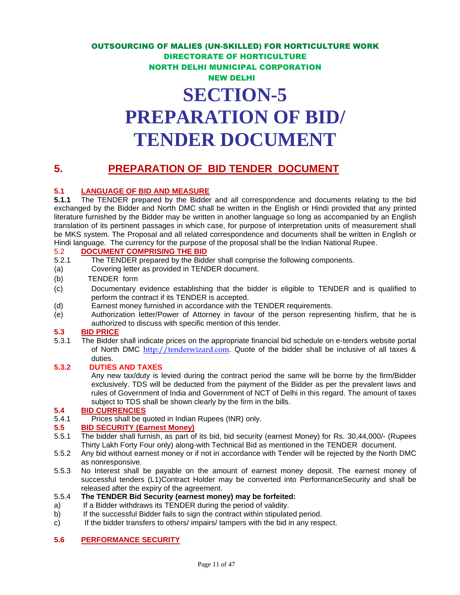## **PREPARATION OF BID/ TENDER DOCUMENT**

### **5. PREPARATION OF BID TENDER DOCUMENT**

## **5.1 LANGUAGE OF BID AND MEASURE**<br>**5.1.1** The TENDER prepared by the Bidder

**5.1.1** The TENDER prepared by the Bidder and all correspondence and documents relating to the bid exchanged by the Bidder and North DMC shall be written in the English or Hindi provided that any printed literature furnished by the Bidder may be written in another language so long as accompanied by an English translation of its pertinent passages in which case, for purpose of interpretation units of measurement shall be MKS system. The Proposal and all related correspondence and documents shall be written in English or Hindi language. The currency for the purpose of the proposal shall be the Indian National Rupee.

## 5.2 **DOCUMENT COMPRISING THE BID**<br>5.2.1 The TENDER prepared by the Bidd

- The TENDER prepared by the Bidder shall comprise the following components.
- (a) Covering letter as provided in TENDER document.
- (b) TENDER form
- (c) Documentary evidence establishing that the bidder is eligible to TENDER and is qualified to perform the contract if its TENDER is accepted.
- (d) Earnest money furnished in accordance with the TENDER requirements.
- (e) Authorization letter/Power of Attorney in favour of the person representing hisfirm, that he is authorized to discuss with specific mention of this tender.

#### **5.3 BID PRICE**

5.3.1 The Bidder shall indicate prices on the appropriate financial bid schedule on e-tenders website portal of North DMC [http://tenderwizard.com](http://tenderwizard.com/). Quote of the bidder shall be inclusive of all taxes & duties.

#### **5.3.2 DUTIES AND TAXES**

Any new tax/duty is levied during the contract period the same will be borne by the firm/Bidder exclusively. TDS will be deducted from the payment of the Bidder as per the prevalent laws and rules of Government of India and Government of NCT of Delhi in this regard. The amount of taxes subject to TDS shall be shown clearly by the firm in the bills.

#### **5.4 BID CURRENCIES**

5.4.1 Prices shall be quoted in Indian Rupees (INR) only.

#### **5.5 BID SECURITY (Earnest Money)**

- 5.5.1 The bidder shall furnish, as part of its bid, bid security (earnest Money) for Rs. 30,44,000/- (Rupees Thirty Lakh Forty Four only) along-with Technical Bid as mentioned in the TENDER document.
- 5.5.2 Any bid without earnest money or if not in accordance with Tender will be rejected by the North DMC as nonresponsive.
- 5.5.3 No Interest shall be payable on the amount of earnest money deposit. The earnest money of successful tenders (L1)Contract Holder may be converted into PerformanceSecurity and shall be released after the expiry of the agreement.

#### 5.5.4 **The TENDER Bid Security (earnest money) may be forfeited:**

- a) If a Bidder withdraws its TENDER during the period of validity.
- b) If the successful Bidder fails to sign the contract within stipulated period.
- c) If the bidder transfers to others/ impairs/ tampers with the bid in any respect.

#### **5.6 PERFORMANCE SECURITY**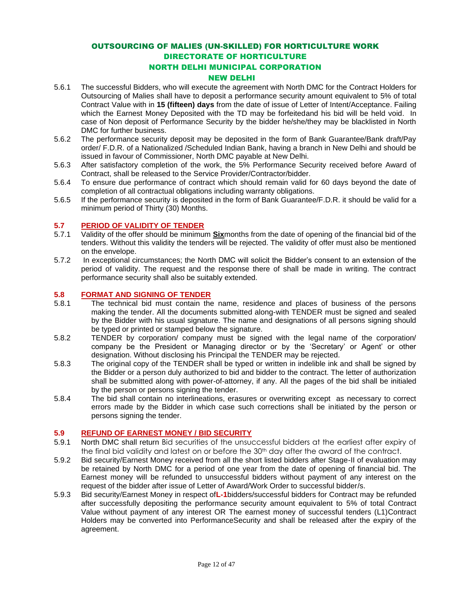#### NEW DELHI

- 5.6.1 The successful Bidders, who will execute the agreement with North DMC for the Contract Holders for Outsourcing of Malies shall have to deposit a performance security amount equivalent to 5% of total Contract Value with in **15 (fifteen) days** from the date of issue of Letter of Intent/Acceptance. Failing which the Earnest Money Deposited with the TD may be forfeitedand his bid will be held void. In case of Non deposit of Performance Security by the bidder he/she/they may be blacklisted in North DMC for further business.
- 5.6.2 The performance security deposit may be deposited in the form of Bank Guarantee/Bank draft/Pay order/ F.D.R. of a Nationalized /Scheduled Indian Bank, having a branch in New Delhi and should be issued in favour of Commissioner, North DMC payable at New Delhi.
- 5.6.3 After satisfactory completion of the work, the 5% Performance Security received before Award of Contract, shall be released to the Service Provider/Contractor/bidder.
- 5.6.4 To ensure due performance of contract which should remain valid for 60 days beyond the date of completion of all contractual obligations including warranty obligations.
- 5.6.5 If the performance security is deposited in the form of Bank Guarantee/F.D.R. it should be valid for a minimum period of Thirty (30) Months.

#### **5.7 PERIOD OF VALIDITY OF TENDER**

- 5.7.1 Validity of the offer should be minimum **Six**months from the date of opening of the financial bid of the tenders. Without this validity the tenders will be rejected. The validity of offer must also be mentioned on the envelope.
- 5.7.2 In exceptional circumstances; the North DMC will solicit the Bidder's consent to an extension of the period of validity. The request and the response there of shall be made in writing. The contract performance security shall also be suitably extended.

## **5.8 FORMAT AND SIGNING OF TENDER**<br>5.8.1 The technical bid must contain the

- The technical bid must contain the name, residence and places of business of the persons making the tender. All the documents submitted along-with TENDER must be signed and sealed by the Bidder with his usual signature. The name and designations of all persons signing should be typed or printed or stamped below the signature.
- 5.8.2 TENDER by corporation/ company must be signed with the legal name of the corporation/ company be the President or Managing director or by the 'Secretary' or Agent' or other designation. Without disclosing his Principal the TENDER may be rejected.
- 5.8.3 The original copy of the TENDER shall be typed or written in indelible ink and shall be signed by the Bidder or a person duly authorized to bid and bidder to the contract. The letter of authorization shall be submitted along with power-of-attorney, if any. All the pages of the bid shall be initialed by the person or persons signing the tender.
- 5.8.4 The bid shall contain no interlineations, erasures or overwriting except as necessary to correct errors made by the Bidder in which case such corrections shall be initiated by the person or persons signing the tender.

#### **5.9 REFUND OF EARNEST MONEY / BID SECURITY**

- 5.9.1 North DMC shall return Bid securities of the unsuccessful bidders at the earliest after expiry of the final bid validity and latest on or before the 30th day after the award of the contract.
- 5.9.2 Bid security/Earnest Money received from all the short listed bidders after Stage-II of evaluation may be retained by North DMC for a period of one year from the date of opening of financial bid. The Earnest money will be refunded to unsuccessful bidders without payment of any interest on the request of the bidder after issue of Letter of Award/Work Order to successful bidder/s.
- 5.9.3 Bid security/Earnest Money in respect of**L-1**bidders/successful bidders for Contract may be refunded after successfully depositing the performance security amount equivalent to 5% of total Contract Value without payment of any interest OR The earnest money of successful tenders (L1)Contract Holders may be converted into PerformanceSecurity and shall be released after the expiry of the agreement.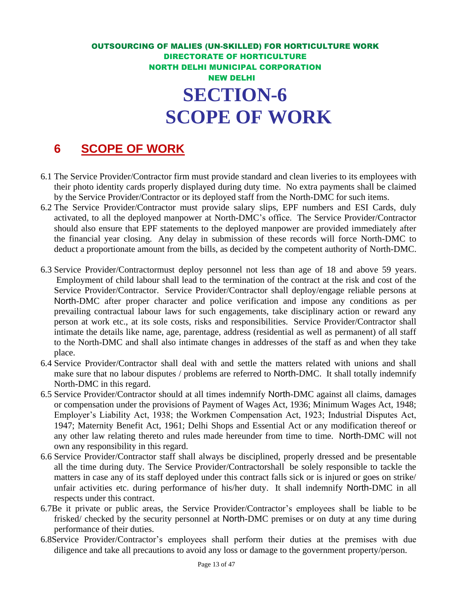## **6 SCOPE OF WORK**

- 6.1 The Service Provider/Contractor firm must provide standard and clean liveries to its employees with their photo identity cards properly displayed during duty time. No extra payments shall be claimed by the Service Provider/Contractor or its deployed staff from the North-DMC for such items.
- 6.2 The Service Provider/Contractor must provide salary slips, EPF numbers and ESI Cards, duly activated, to all the deployed manpower at North-DMC's office. The Service Provider/Contractor should also ensure that EPF statements to the deployed manpower are provided immediately after the financial year closing. Any delay in submission of these records will force North-DMC to deduct a proportionate amount from the bills, as decided by the competent authority of North-DMC.
- 6.3 Service Provider/Contractormust deploy personnel not less than age of 18 and above 59 years. Employment of child labour shall lead to the termination of the contract at the risk and cost of the Service Provider/Contractor. Service Provider/Contractor shall deploy/engage reliable persons at North-DMC after proper character and police verification and impose any conditions as per prevailing contractual labour laws for such engagements, take disciplinary action or reward any person at work etc., at its sole costs, risks and responsibilities. Service Provider/Contractor shall intimate the details like name, age, parentage, address (residential as well as permanent) of all staff to the North-DMC and shall also intimate changes in addresses of the staff as and when they take place.
- 6.4 Service Provider/Contractor shall deal with and settle the matters related with unions and shall make sure that no labour disputes / problems are referred to North-DMC. It shall totally indemnify North-DMC in this regard.
- 6.5 Service Provider/Contractor should at all times indemnify North-DMC against all claims, damages or compensation under the provisions of Payment of Wages Act, 1936; Minimum Wages Act, 1948; Employer's Liability Act, 1938; the Workmen Compensation Act, 1923; Industrial Disputes Act, 1947; Maternity Benefit Act, 1961; Delhi Shops and Essential Act or any modification thereof or any other law relating thereto and rules made hereunder from time to time. North-DMC will not own any responsibility in this regard.
- 6.6 Service Provider/Contractor staff shall always be disciplined, properly dressed and be presentable all the time during duty. The Service Provider/Contractorshall be solely responsible to tackle the matters in case any of its staff deployed under this contract falls sick or is injured or goes on strike/ unfair activities etc. during performance of his/her duty. It shall indemnify North-DMC in all respects under this contract.
- 6.7Be it private or public areas, the Service Provider/Contractor's employees shall be liable to be frisked/ checked by the security personnel at North-DMC premises or on duty at any time during performance of their duties.
- 6.8Service Provider/Contractor's employees shall perform their duties at the premises with due diligence and take all precautions to avoid any loss or damage to the government property/person.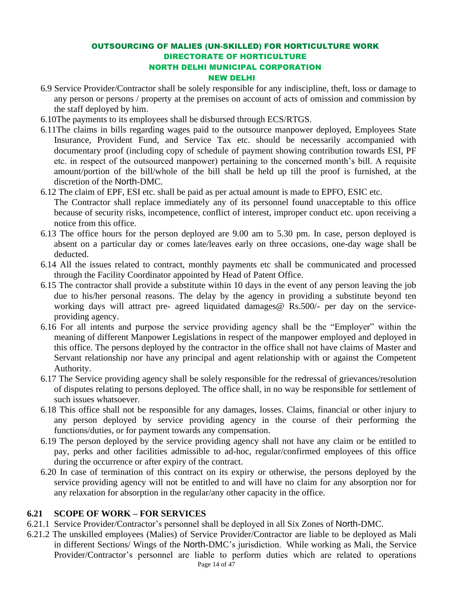- 6.9 Service Provider/Contractor shall be solely responsible for any indiscipline, theft, loss or damage to any person or persons / property at the premises on account of acts of omission and commission by the staff deployed by him.
- 6.10The payments to its employees shall be disbursed through ECS/RTGS.
- 6.11The claims in bills regarding wages paid to the outsource manpower deployed, Employees State Insurance, Provident Fund, and Service Tax etc. should be necessarily accompanied with documentary proof (including copy of schedule of payment showing contribution towards ESI, PF etc. in respect of the outsourced manpower) pertaining to the concerned month's bill. A requisite amount/portion of the bill/whole of the bill shall be held up till the proof is furnished, at the discretion of the North-DMC.
- 6.12 The claim of EPF, ESI etc. shall be paid as per actual amount is made to EPFO, ESIC etc.

The Contractor shall replace immediately any of its personnel found unacceptable to this office because of security risks, incompetence, conflict of interest, improper conduct etc. upon receiving a notice from this office.

- 6.13 The office hours for the person deployed are 9.00 am to 5.30 pm. In case, person deployed is absent on a particular day or comes late/leaves early on three occasions, one-day wage shall be deducted.
- 6.14 All the issues related to contract, monthly payments etc shall be communicated and processed through the Facility Coordinator appointed by Head of Patent Office.
- 6.15 The contractor shall provide a substitute within 10 days in the event of any person leaving the job due to his/her personal reasons. The delay by the agency in providing a substitute beyond ten working days will attract pre- agreed liquidated damages@ Rs.500/- per day on the serviceproviding agency.
- 6.16 For all intents and purpose the service providing agency shall be the "Employer" within the meaning of different Manpower Legislations in respect of the manpower employed and deployed in this office. The persons deployed by the contractor in the office shall not have claims of Master and Servant relationship nor have any principal and agent relationship with or against the Competent Authority.
- 6.17 The Service providing agency shall be solely responsible for the redressal of grievances/resolution of disputes relating to persons deployed. The office shall, in no way be responsible for settlement of such issues whatsoever.
- 6.18 This office shall not be responsible for any damages, losses. Claims, financial or other injury to any person deployed by service providing agency in the course of their performing the functions/duties, or for payment towards any compensation.
- 6.19 The person deployed by the service providing agency shall not have any claim or be entitled to pay, perks and other facilities admissible to ad-hoc, regular/confirmed employees of this office during the occurrence or after expiry of the contract.
- 6.20 In case of termination of this contract on its expiry or otherwise, the persons deployed by the service providing agency will not be entitled to and will have no claim for any absorption nor for any relaxation for absorption in the regular/any other capacity in the office.

#### **6.21 SCOPE OF WORK – FOR SERVICES**

- 6.21.1 Service Provider/Contractor's personnel shall be deployed in all Six Zones of North-DMC.
- Page 14 of 47 6.21.2 The unskilled employees (Malies) of Service Provider/Contractor are liable to be deployed as Mali in different Sections/ Wings of the North-DMC's jurisdiction. While working as Mali, the Service Provider/Contractor's personnel are liable to perform duties which are related to operations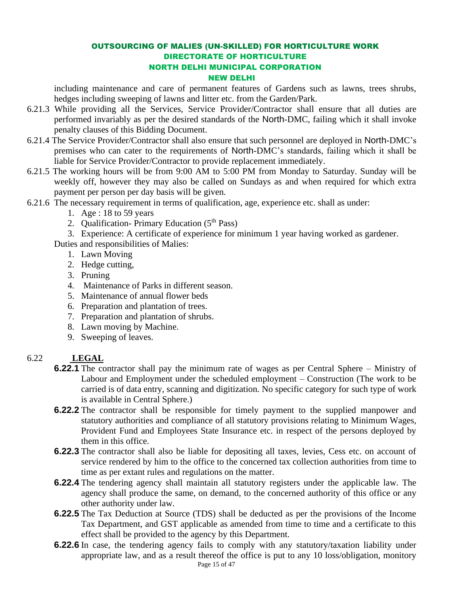including maintenance and care of permanent features of Gardens such as lawns, trees shrubs, hedges including sweeping of lawns and litter etc. from the Garden/Park.

- 6.21.3 While providing all the Services, Service Provider/Contractor shall ensure that all duties are performed invariably as per the desired standards of the North-DMC, failing which it shall invoke penalty clauses of this Bidding Document.
- 6.21.4 The Service Provider/Contractor shall also ensure that such personnel are deployed in North-DMC's premises who can cater to the requirements of North-DMC's standards, failing which it shall be liable for Service Provider/Contractor to provide replacement immediately.
- 6.21.5 The working hours will be from 9:00 AM to 5:00 PM from Monday to Saturday. Sunday will be weekly off, however they may also be called on Sundays as and when required for which extra payment per person per day basis will be given.
- 6.21.6 The necessary requirement in terms of qualification, age, experience etc. shall as under:
	- 1. Age : 18 to 59 years
	- 2. Qualification- Primary Education  $(5<sup>th</sup> Pass)$

3. Experience: A certificate of experience for minimum 1 year having worked as gardener.

Duties and responsibilities of Malies:

- 1. Lawn Moving
- 2. Hedge cutting,
- 3. Pruning
- 4. Maintenance of Parks in different season.
- 5. Maintenance of annual flower beds
- 6. Preparation and plantation of trees.
- 7. Preparation and plantation of shrubs.
- 8. Lawn moving by Machine.
- 9. Sweeping of leaves.

#### 6.22 **LEGAL**

- **6.22.1** The contractor shall pay the minimum rate of wages as per Central Sphere Ministry of Labour and Employment under the scheduled employment – Construction (The work to be carried is of data entry, scanning and digitization. No specific category for such type of work is available in Central Sphere.)
- **6.22.2** The contractor shall be responsible for timely payment to the supplied manpower and statutory authorities and compliance of all statutory provisions relating to Minimum Wages, Provident Fund and Employees State Insurance etc. in respect of the persons deployed by them in this office.
- **6.22.3** The contractor shall also be liable for depositing all taxes, levies, Cess etc. on account of service rendered by him to the office to the concerned tax collection authorities from time to time as per extant rules and regulations on the matter.
- **6.22.4** The tendering agency shall maintain all statutory registers under the applicable law. The agency shall produce the same, on demand, to the concerned authority of this office or any other authority under law.
- **6.22.5** The Tax Deduction at Source (TDS) shall be deducted as per the provisions of the Income Tax Department, and GST applicable as amended from time to time and a certificate to this effect shall be provided to the agency by this Department.
- Page 15 of 47 **6.22.6** In case, the tendering agency fails to comply with any statutory/taxation liability under appropriate law, and as a result thereof the office is put to any 10 loss/obligation, monitory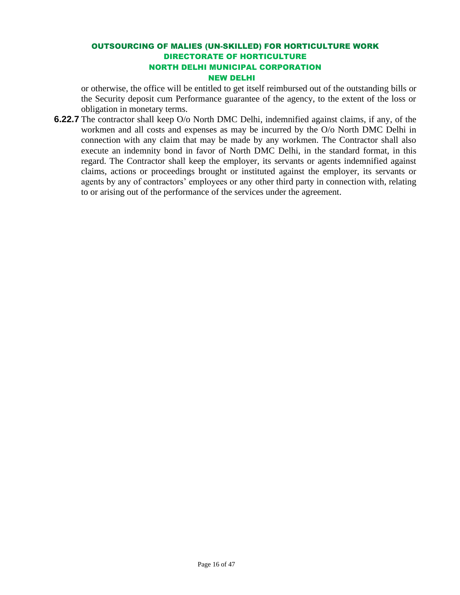or otherwise, the office will be entitled to get itself reimbursed out of the outstanding bills or the Security deposit cum Performance guarantee of the agency, to the extent of the loss or obligation in monetary terms.

**6.22.7** The contractor shall keep O/o North DMC Delhi, indemnified against claims, if any, of the workmen and all costs and expenses as may be incurred by the O/o North DMC Delhi in connection with any claim that may be made by any workmen. The Contractor shall also execute an indemnity bond in favor of North DMC Delhi, in the standard format, in this regard. The Contractor shall keep the employer, its servants or agents indemnified against claims, actions or proceedings brought or instituted against the employer, its servants or agents by any of contractors' employees or any other third party in connection with, relating to or arising out of the performance of the services under the agreement.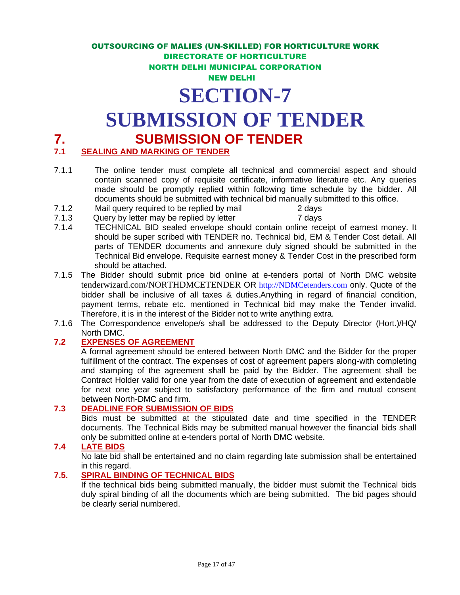## **SECTION-7**

## **SUBMISSION OF TENDER**

## **7.** SEALING AND MARKING OF TENDER TENDER

#### *SEALING AND MARKING OF TENDER*

- 7.1.1 The online tender must complete all technical and commercial aspect and should contain scanned copy of requisite certificate, informative literature etc. Any queries made should be promptly replied within following time schedule by the bidder. All documents should be submitted with technical bid manually submitted to this office.
- 7.1.2 Mail query required to be replied by mail 2 days
- 7.1.3 Query by letter may be replied by letter 7 days
- 7.1.4 TECHNICAL BID sealed envelope should contain online receipt of earnest money. It should be super scribed with TENDER no. Technical bid, EM & Tender Cost detail. All parts of TENDER documents and annexure duly signed should be submitted in the Technical Bid envelope. Requisite earnest money & Tender Cost in the prescribed form should be attached.
- 7.1.5 The Bidder should submit price bid online at e-tenders portal of North DMC website tenderwizard.com/NORTHDMCETENDER OR [http://NDMCetenders.com](http://ndmcetenders.com/) only. Quote of the bidder shall be inclusive of all taxes & duties.Anything in regard of financial condition, payment terms, rebate etc. mentioned in Technical bid may make the Tender invalid. Therefore, it is in the interest of the Bidder not to write anything extra.
- 7.1.6 The Correspondence envelope/s shall be addressed to the Deputy Director (Hort.)/HQ/ North DMC.

#### **7.2 EXPENSES OF AGREEMENT**

A formal agreement should be entered between North DMC and the Bidder for the proper fulfillment of the contract. The expenses of cost of agreement papers along-with completing and stamping of the agreement shall be paid by the Bidder. The agreement shall be Contract Holder valid for one year from the date of execution of agreement and extendable for next one year subject to satisfactory performance of the firm and mutual consent between North-DMC and firm.

#### **7.3 DEADLINE FOR SUBMISSION OF BIDS**

Bids must be submitted at the stipulated date and time specified in the TENDER documents. The Technical Bids may be submitted manual however the financial bids shall only be submitted online at e-tenders portal of North DMC website.

#### **7.4 LATE BIDS**

No late bid shall be entertained and no claim regarding late submission shall be entertained in this regard.

#### **7.5. SPIRAL BINDING OF TECHNICAL BIDS**

If the technical bids being submitted manually, the bidder must submit the Technical bids duly spiral binding of all the documents which are being submitted. The bid pages should be clearly serial numbered.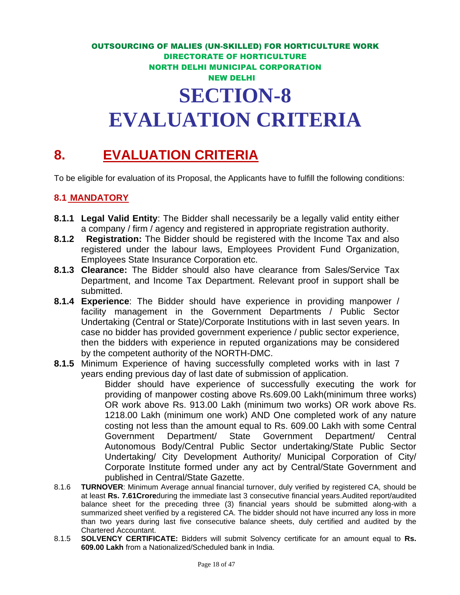## OUTSOURCING OF MALIES (UN-SKILLED) FOR HORTICULTURE WORK DIRECTORATE OF HORTICULTURE NORTH DELHI MUNICIPAL CORPORATION NEW DELHI **SECTION-8 EVALUATION CRITERIA**

## **8. EVALUATION CRITERIA**

To be eligible for evaluation of its Proposal, the Applicants have to fulfill the following conditions:

#### **8.1 MANDATORY**

- **8.1.1 Legal Valid Entity**: The Bidder shall necessarily be a legally valid entity either a company / firm / agency and registered in appropriate registration authority.
- **8.1.2 Registration:** The Bidder should be registered with the Income Tax and also registered under the labour laws, Employees Provident Fund Organization, Employees State Insurance Corporation etc.
- **8.1.3 Clearance:** The Bidder should also have clearance from Sales/Service Tax Department, and Income Tax Department. Relevant proof in support shall be submitted.
- **8.1.4 Experience**: The Bidder should have experience in providing manpower / facility management in the Government Departments / Public Sector Undertaking (Central or State)/Corporate Institutions with in last seven years. In case no bidder has provided government experience / public sector experience, then the bidders with experience in reputed organizations may be considered by the competent authority of the NORTH-DMC.
- **8.1.5** Minimum Experience of having successfully completed works with in last 7 years ending previous day of last date of submission of application.

Bidder should have experience of successfully executing the work for providing of manpower costing above Rs.609.00 Lakh(minimum three works) OR work above Rs. 913.00 Lakh (minimum two works) OR work above Rs. 1218.00 Lakh (minimum one work) AND One completed work of any nature costing not less than the amount equal to Rs. 609.00 Lakh with some Central Government Department/ State Government Department/ Central Autonomous Body/Central Public Sector undertaking/State Public Sector Undertaking/ City Development Authority/ Municipal Corporation of City/ Corporate Institute formed under any act by Central/State Government and published in Central/State Gazette.

- 8.1.6 **TURNOVER**: Minimum Average annual financial turnover, duly verified by registered CA, should be at least **Rs. 7.61Crore**during the immediate last 3 consecutive financial years.Audited report/audited balance sheet for the preceding three (3) financial years should be submitted along-with a summarized sheet verified by a registered CA. The bidder should not have incurred any loss in more than two years during last five consecutive balance sheets, duly certified and audited by the Chartered Accountant.
- 8.1.5 **SOLVENCY CERTIFICATE:** Bidders will submit Solvency certificate for an amount equal to **Rs. 609.00 Lakh** from a Nationalized/Scheduled bank in India.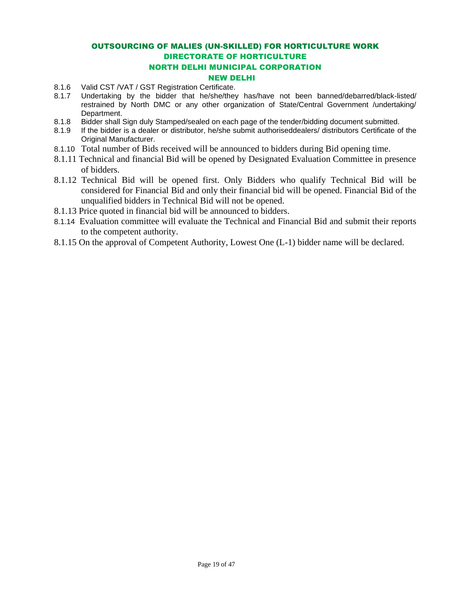#### NEW DELHI

- 8.1.6 Valid CST /VAT / GST Registration Certificate.
- 8.1.7 Undertaking by the bidder that he/she/they has/have not been banned/debarred/black-listed/ restrained by North DMC or any other organization of State/Central Government /undertaking/ Department.
- 8.1.8 Bidder shall Sign duly Stamped/sealed on each page of the tender/bidding document submitted.
- 8.1.9 If the bidder is a dealer or distributor, he/she submit authoriseddealers/ distributors Certificate of the Original Manufacturer.
- 8.1.10 Total number of Bids received will be announced to bidders during Bid opening time.
- 8.1.11 Technical and financial Bid will be opened by Designated Evaluation Committee in presence of bidders.
- 8.1.12 Technical Bid will be opened first. Only Bidders who qualify Technical Bid will be considered for Financial Bid and only their financial bid will be opened. Financial Bid of the unqualified bidders in Technical Bid will not be opened.
- 8.1.13 Price quoted in financial bid will be announced to bidders.
- 8.1.14 Evaluation committee will evaluate the Technical and Financial Bid and submit their reports to the competent authority.
- 8.1.15 On the approval of Competent Authority, Lowest One (L-1) bidder name will be declared.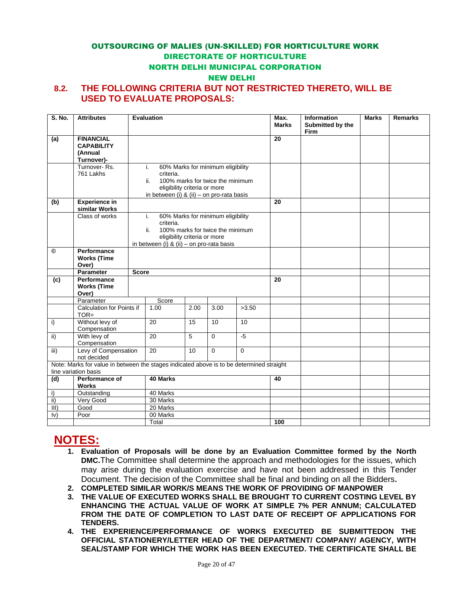#### NEW DELHI

#### **8.2. THE FOLLOWING CRITERIA BUT NOT RESTRICTED THERETO, WILL BE USED TO EVALUATE PROPOSALS:**

| S. No.                 | <b>Attributes</b>                                                                        | <b>Evaluation</b> |                                               |                              |                                   |       | Max.         | <b>Information</b>       | <b>Marks</b> | <b>Remarks</b> |
|------------------------|------------------------------------------------------------------------------------------|-------------------|-----------------------------------------------|------------------------------|-----------------------------------|-------|--------------|--------------------------|--------------|----------------|
|                        |                                                                                          |                   |                                               |                              |                                   |       | <b>Marks</b> | Submitted by the<br>Firm |              |                |
| (a)                    | <b>FINANCIAL</b>                                                                         |                   |                                               |                              |                                   |       | 20           |                          |              |                |
|                        | <b>CAPABILITY</b>                                                                        |                   |                                               |                              |                                   |       |              |                          |              |                |
|                        | (Annual                                                                                  |                   |                                               |                              |                                   |       |              |                          |              |                |
|                        | Turnover)-<br>Turnover-Rs.                                                               | j.                |                                               |                              |                                   |       |              |                          |              |                |
|                        | 761 Lakhs                                                                                |                   | criteria.                                     |                              | 60% Marks for minimum eligibility |       |              |                          |              |                |
|                        |                                                                                          |                   | ii.                                           |                              | 100% marks for twice the minimum  |       |              |                          |              |                |
|                        |                                                                                          |                   |                                               | eligibility criteria or more |                                   |       |              |                          |              |                |
|                        |                                                                                          |                   | in between (i) & (ii) - on pro-rata basis     |                              |                                   |       |              |                          |              |                |
| (b)                    | <b>Experience in</b><br>similar Works                                                    |                   |                                               |                              |                                   |       | 20           |                          |              |                |
|                        | Class of works                                                                           | i.                |                                               |                              | 60% Marks for minimum eligibility |       |              |                          |              |                |
|                        |                                                                                          |                   | criteria.                                     |                              |                                   |       |              |                          |              |                |
|                        |                                                                                          |                   | ii.                                           | eligibility criteria or more | 100% marks for twice the minimum  |       |              |                          |              |                |
|                        |                                                                                          |                   | in between (i) & (ii) – on pro-rata basis     |                              |                                   |       |              |                          |              |                |
| $^{\circ}$             | Performance                                                                              |                   |                                               |                              |                                   |       |              |                          |              |                |
|                        | <b>Works (Time</b>                                                                       |                   |                                               |                              |                                   |       |              |                          |              |                |
|                        | Over)<br>Parameter                                                                       | <b>Score</b>      |                                               |                              |                                   |       |              |                          |              |                |
| (c)                    | Performance                                                                              |                   |                                               |                              |                                   |       | 20           |                          |              |                |
|                        | <b>Works (Time</b>                                                                       |                   |                                               |                              |                                   |       |              |                          |              |                |
|                        | Over)                                                                                    |                   |                                               |                              |                                   |       |              |                          |              |                |
|                        | Parameter                                                                                |                   | Score                                         |                              |                                   |       |              |                          |              |                |
|                        | Calculation for Points if                                                                |                   | 1.00                                          | 2.00                         | 3.00                              | >3.50 |              |                          |              |                |
|                        | $TOR =$                                                                                  |                   |                                               |                              |                                   |       |              |                          |              |                |
| i)                     | Without levy of<br>Compensation                                                          |                   | 20                                            | 15                           | 10                                | 10    |              |                          |              |                |
| $\overline{ii}$        | With levy of                                                                             |                   | $\overline{20}$                               | 5                            | $\mathbf 0$                       | $-5$  |              |                          |              |                |
|                        | Compensation                                                                             |                   |                                               |                              |                                   |       |              |                          |              |                |
| $\overline{iii}$       | Levy of Compensation<br>not decided                                                      |                   | $\overline{20}$<br>$\Omega$<br>$\Omega$<br>10 |                              |                                   |       |              |                          |              |                |
|                        | Note: Marks for value in between the stages indicated above is to be determined straight |                   |                                               |                              |                                   |       |              |                          |              |                |
| line variation basis   |                                                                                          |                   |                                               |                              |                                   |       |              |                          |              |                |
| (d)                    | Performance of<br><b>Works</b>                                                           |                   | 40 Marks                                      |                              | 40                                |       |              |                          |              |                |
| i)                     | Outstanding                                                                              |                   | 40 Marks                                      |                              |                                   |       |              |                          |              |                |
| $\overline{ii}$        | Very Good                                                                                |                   | 30 Marks                                      |                              |                                   |       |              |                          |              |                |
| III)                   | Good                                                                                     |                   | 20 Marks                                      |                              |                                   |       |              |                          |              |                |
| $\mathsf{I}\mathsf{v}$ | Poor                                                                                     |                   | 00 Marks                                      |                              |                                   |       |              |                          |              |                |
|                        |                                                                                          |                   | Total                                         |                              |                                   | 100   |              |                          |              |                |

### **NOTES:**

- **1. Evaluation of Proposals will be done by an Evaluation Committee formed by the North DMC.**The Committee shall determine the approach and methodologies for the issues, which may arise during the evaluation exercise and have not been addressed in this Tender Document. The decision of the Committee shall be final and binding on all the Bidders**.**
- **2. COMPLETED SIMILAR WORK/S MEANS THE WORK OF PROVIDING OF MANPOWER**
- **3. THE VALUE OF EXECUTED WORKS SHALL BE BROUGHT TO CURRENT COSTING LEVEL BY ENHANCING THE ACTUAL VALUE OF WORK AT SIMPLE 7% PER ANNUM; CALCULATED FROM THE DATE OF COMPLETION TO LAST DATE OF RECEIPT OF APPLICATIONS FOR TENDERS.**
- **4. THE EXPERIENCE/PERFORMANCE OF WORKS EXECUTED BE SUBMITTEDON THE OFFICIAL STATIONERY/LETTER HEAD OF THE DEPARTMENT/ COMPANY/ AGENCY, WITH SEAL/STAMP FOR WHICH THE WORK HAS BEEN EXECUTED. THE CERTIFICATE SHALL BE**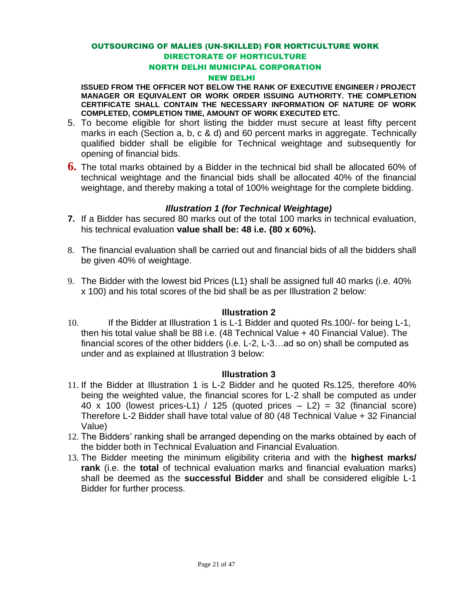### OUTSOURCING OF MALIES (UN-SKILLED) FOR HORTICULTURE WORK DIRECTORATE OF HORTICULTURE

#### NORTH DELHI MUNICIPAL CORPORATION

#### NEW DELHI

**ISSUED FROM THE OFFICER NOT BELOW THE RANK OF EXECUTIVE ENGINEER / PROJECT MANAGER OR EQUIVALENT OR WORK ORDER ISSUING AUTHORITY. THE COMPLETION CERTIFICATE SHALL CONTAIN THE NECESSARY INFORMATION OF NATURE OF WORK COMPLETED, COMPLETION TIME, AMOUNT OF WORK EXECUTED ETC.**

- 5. To become eligible for short listing the bidder must secure at least fifty percent marks in each (Section a, b, c & d) and 60 percent marks in aggregate. Technically qualified bidder shall be eligible for Technical weightage and subsequently for opening of financial bids.
- **6.** The total marks obtained by a Bidder in the technical bid shall be allocated 60% of technical weightage and the financial bids shall be allocated 40% of the financial weightage, and thereby making a total of 100% weightage for the complete bidding.

#### *Illustration 1 (for Technical Weightage)*

- **7.** If a Bidder has secured 80 marks out of the total 100 marks in technical evaluation, his technical evaluation **value shall be: 48 i.e. {80 x 60%).**
- 8. The financial evaluation shall be carried out and financial bids of all the bidders shall be given 40% of weightage.
- 9. The Bidder with the lowest bid Prices (L1) shall be assigned full 40 marks (i.e. 40% x 100) and his total scores of the bid shall be as per Illustration 2 below:

#### **Illustration 2**

10. If the Bidder at Illustration 1 is L-1 Bidder and quoted Rs.100/- for being L-1, then his total value shall be 88 i.e. (48 Technical Value + 40 Financial Value). The financial scores of the other bidders (i.e. L-2, L-3…ad so on) shall be computed as under and as explained at Illustration 3 below:

#### **Illustration 3**

- 11. If the Bidder at Illustration 1 is L-2 Bidder and he quoted Rs.125, therefore 40% being the weighted value, the financial scores for L-2 shall be computed as under 40 x 100 (lowest prices-L1) / 125 (quoted prices  $-$  L2) = 32 (financial score) Therefore L-2 Bidder shall have total value of 80 (48 Technical Value + 32 Financial Value)
- 12. The Bidders' ranking shall be arranged depending on the marks obtained by each of the bidder both in Technical Evaluation and Financial Evaluation.
- 13. The Bidder meeting the minimum eligibility criteria and with the **highest marks/ rank** (i.e. the **total** of technical evaluation marks and financial evaluation marks) shall be deemed as the **successful Bidder** and shall be considered eligible L-1 Bidder for further process.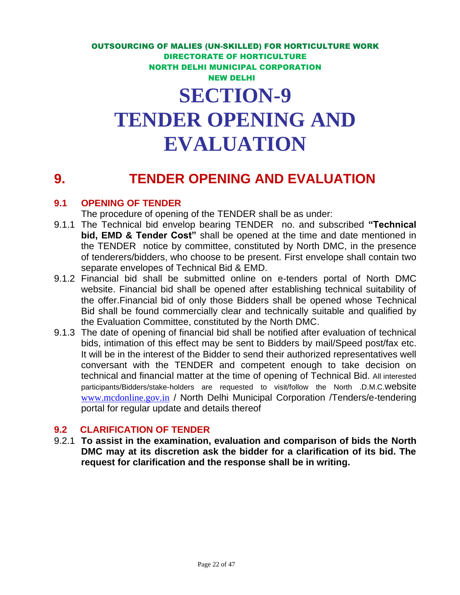# **EVALUATION**

## **9. TENDER OPENING AND EVALUATION**

#### **9.1 OPENING OF TENDER**

The procedure of opening of the TENDER shall be as under:

- 9.1.1 The Technical bid envelop bearing TENDER no. and subscribed **"Technical bid, EMD & Tender Cost"** shall be opened at the time and date mentioned in the TENDER notice by committee, constituted by North DMC, in the presence of tenderers/bidders, who choose to be present. First envelope shall contain two separate envelopes of Technical Bid & EMD.
- 9.1.2 Financial bid shall be submitted online on e-tenders portal of North DMC website. Financial bid shall be opened after establishing technical suitability of the offer.Financial bid of only those Bidders shall be opened whose Technical Bid shall be found commercially clear and technically suitable and qualified by the Evaluation Committee, constituted by the North DMC.
- 9.1.3 The date of opening of financial bid shall be notified after evaluation of technical bids, intimation of this effect may be sent to Bidders by mail/Speed post/fax etc. It will be in the interest of the Bidder to send their authorized representatives well conversant with the TENDER and competent enough to take decision on technical and financial matter at the time of opening of Technical Bid. All interested participants/Bidders/stake-holders are requested to visit/follow the North .D.M.C.website [www.mcdonline.gov.in](http://www.mcdonline.gov.in/) / North Delhi Municipal Corporation /Tenders/e-tendering portal for regular update and details thereof

#### **9.2 CLARIFICATION OF TENDER**

9.2.1 **To assist in the examination, evaluation and comparison of bids the North DMC may at its discretion ask the bidder for a clarification of its bid. The request for clarification and the response shall be in writing.**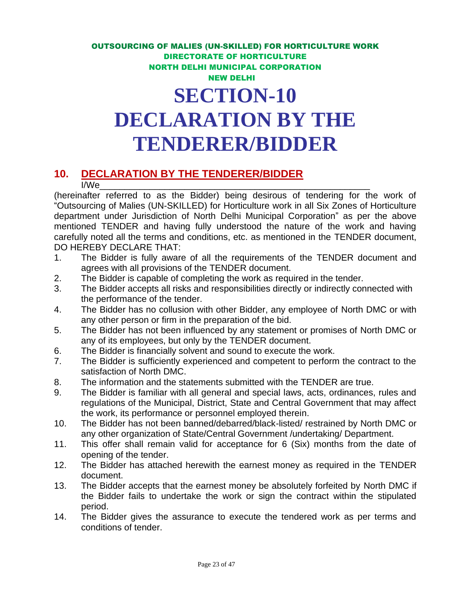## **DECLARATION BY THE TENDERER/BIDDER**

### **10. DECLARATION BY THE TENDERER/BIDDER**

I/We\_\_\_\_\_\_\_\_\_\_\_\_\_\_\_\_\_\_\_\_\_\_\_\_\_\_\_\_\_\_\_\_\_\_\_\_\_\_\_\_\_\_\_\_\_\_\_\_\_\_\_\_\_\_ (hereinafter referred to as the Bidder) being desirous of tendering for the work of "Outsourcing of Malies (UN-SKILLED) for Horticulture work in all Six Zones of Horticulture department under Jurisdiction of North Delhi Municipal Corporation" as per the above mentioned TENDER and having fully understood the nature of the work and having carefully noted all the terms and conditions, etc. as mentioned in the TENDER document, DO HEREBY DECLARE THAT:

- 1. The Bidder is fully aware of all the requirements of the TENDER document and agrees with all provisions of the TENDER document.
- 2. The Bidder is capable of completing the work as required in the tender.
- 3. The Bidder accepts all risks and responsibilities directly or indirectly connected with the performance of the tender.
- 4. The Bidder has no collusion with other Bidder, any employee of North DMC or with any other person or firm in the preparation of the bid.
- 5. The Bidder has not been influenced by any statement or promises of North DMC or any of its employees, but only by the TENDER document.
- 6. The Bidder is financially solvent and sound to execute the work.
- 7. The Bidder is sufficiently experienced and competent to perform the contract to the satisfaction of North DMC.
- 8. The information and the statements submitted with the TENDER are true.
- 9. The Bidder is familiar with all general and special laws, acts, ordinances, rules and regulations of the Municipal, District, State and Central Government that may affect the work, its performance or personnel employed therein.
- 10. The Bidder has not been banned/debarred/black-listed/ restrained by North DMC or any other organization of State/Central Government /undertaking/ Department.
- 11. This offer shall remain valid for acceptance for 6 (Six) months from the date of opening of the tender.
- 12. The Bidder has attached herewith the earnest money as required in the TENDER document.
- 13. The Bidder accepts that the earnest money be absolutely forfeited by North DMC if the Bidder fails to undertake the work or sign the contract within the stipulated period.
- 14. The Bidder gives the assurance to execute the tendered work as per terms and conditions of tender.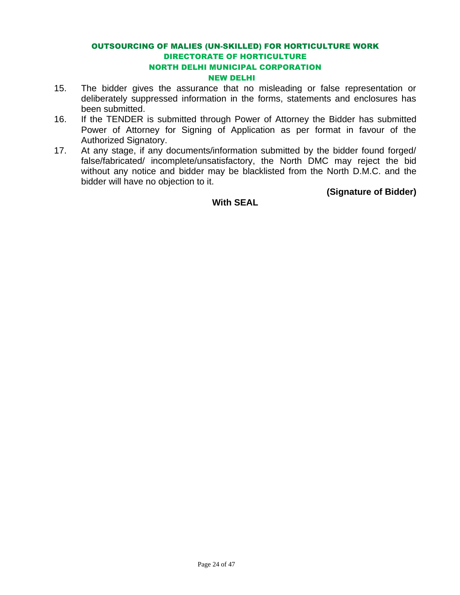- 15. The bidder gives the assurance that no misleading or false representation or deliberately suppressed information in the forms, statements and enclosures has been submitted.
- 16. If the TENDER is submitted through Power of Attorney the Bidder has submitted Power of Attorney for Signing of Application as per format in favour of the Authorized Signatory.
- 17. At any stage, if any documents/information submitted by the bidder found forged/ false/fabricated/ incomplete/unsatisfactory, the North DMC may reject the bid without any notice and bidder may be blacklisted from the North D.M.C. and the bidder will have no objection to it.

**(Signature of Bidder)** 

#### **With SEAL**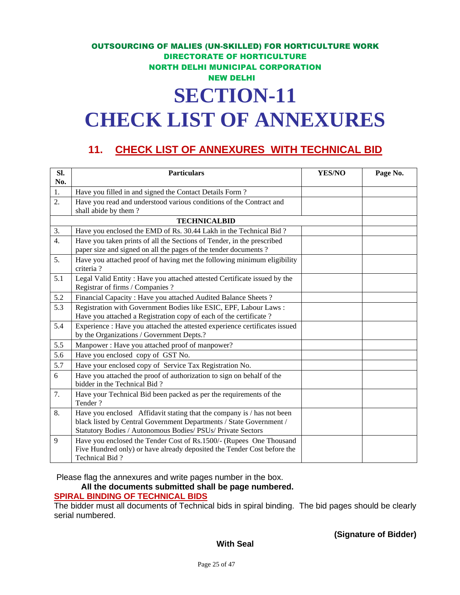## OUTSOURCING OF MALIES (UN-SKILLED) FOR HORTICULTURE WORK DIRECTORATE OF HORTICULTURE NORTH DELHI MUNICIPAL CORPORATION NEW DELHI **SECTION-11 CHECK LIST OF ANNEXURES**

### **11. CHECK LIST OF ANNEXURES WITH TECHNICAL BID**

| SI.<br>No.       | <b>Particulars</b>                                                                                                                                                                                           | YES/NO | Page No. |
|------------------|--------------------------------------------------------------------------------------------------------------------------------------------------------------------------------------------------------------|--------|----------|
| 1.               | Have you filled in and signed the Contact Details Form?                                                                                                                                                      |        |          |
| 2.               | Have you read and understood various conditions of the Contract and<br>shall abide by them?                                                                                                                  |        |          |
|                  | <b>TECHNICALBID</b>                                                                                                                                                                                          |        |          |
| 3.               | Have you enclosed the EMD of Rs. 30.44 Lakh in the Technical Bid?                                                                                                                                            |        |          |
| $\overline{4}$ . | Have you taken prints of all the Sections of Tender, in the prescribed<br>paper size and signed on all the pages of the tender documents?                                                                    |        |          |
| 5.               | Have you attached proof of having met the following minimum eligibility<br>criteria?                                                                                                                         |        |          |
| 5.1              | Legal Valid Entity: Have you attached attested Certificate issued by the<br>Registrar of firms / Companies ?                                                                                                 |        |          |
| 5.2              | Financial Capacity: Have you attached Audited Balance Sheets?                                                                                                                                                |        |          |
| 5.3              | Registration with Government Bodies like ESIC, EPF, Labour Laws:<br>Have you attached a Registration copy of each of the certificate?                                                                        |        |          |
| 5.4              | Experience : Have you attached the attested experience certificates issued<br>by the Organizations / Government Depts.?                                                                                      |        |          |
| 5.5              | Manpower: Have you attached proof of manpower?                                                                                                                                                               |        |          |
| 5.6              | Have you enclosed copy of GST No.                                                                                                                                                                            |        |          |
| 5.7              | Have your enclosed copy of Service Tax Registration No.                                                                                                                                                      |        |          |
| 6                | Have you attached the proof of authorization to sign on behalf of the<br>bidder in the Technical Bid?                                                                                                        |        |          |
| 7.               | Have your Technical Bid been packed as per the requirements of the<br>Tender?                                                                                                                                |        |          |
| 8.               | Have you enclosed Affidavit stating that the company is / has not been<br>black listed by Central Government Departments / State Government /<br>Statutory Bodies / Autonomous Bodies/ PSUs/ Private Sectors |        |          |
| 9                | Have you enclosed the Tender Cost of Rs.1500/- (Rupees One Thousand<br>Five Hundred only) or have already deposited the Tender Cost before the<br>Technical Bid?                                             |        |          |

Please flag the annexures and write pages number in the box.

**All the documents submitted shall be page numbered.**

#### **SPIRAL BINDING OF TECHNICAL BIDS**

The bidder must all documents of Technical bids in spiral binding. The bid pages should be clearly serial numbered.

**(Signature of Bidder)**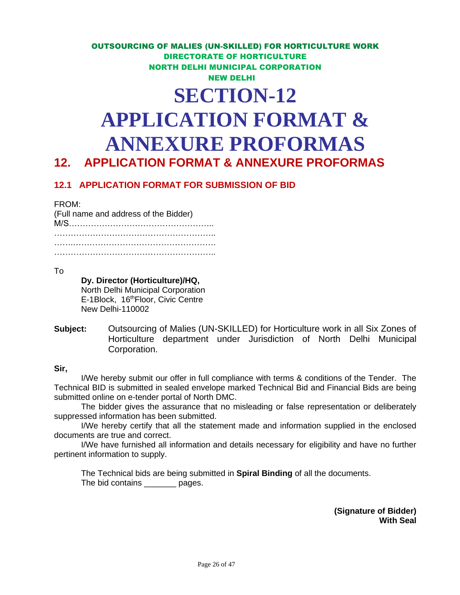## **SECTION-12 APPLICATION FORMAT & ANNEXURE PROFORMAS**

## **12. APPLICATION FORMAT & ANNEXURE PROFORMAS**

#### **12.1 APPLICATION FORMAT FOR SUBMISSION OF BID**

#### FROM:

| (Full name and address of the Bidder) |  |
|---------------------------------------|--|
|                                       |  |
|                                       |  |
|                                       |  |

#### To

#### **Dy. Director (Horticulture)/HQ,**

North Delhi Municipal Corporation E-1Block, 16<sup>th</sup>Floor, Civic Centre New Delhi-110002

**Subject:** Outsourcing of Malies (UN-SKILLED) for Horticulture work in all Six Zones of Horticulture department under Jurisdiction of North Delhi Municipal Corporation.

#### **Sir,**

I/We hereby submit our offer in full compliance with terms & conditions of the Tender. The Technical BID is submitted in sealed envelope marked Technical Bid and Financial Bids are being submitted online on e-tender portal of North DMC.

The bidder gives the assurance that no misleading or false representation or deliberately suppressed information has been submitted.

I/We hereby certify that all the statement made and information supplied in the enclosed documents are true and correct.

I/We have furnished all information and details necessary for eligibility and have no further pertinent information to supply.

The Technical bids are being submitted in **Spiral Binding** of all the documents. The bid contains \_\_\_\_\_\_\_ pages.

> **(Signature of Bidder) With Seal**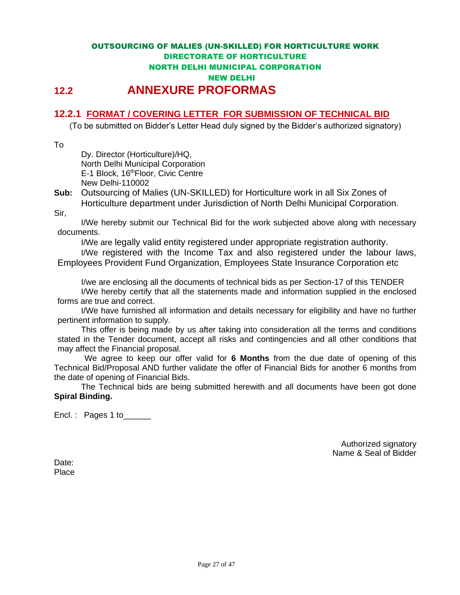#### **12.2.1 FORMAT / COVERING LETTER FOR SUBMISSION OF TECHNICAL BID**

(To be submitted on Bidder's Letter Head duly signed by the Bidder's authorized signatory)

To

Dy. Director (Horticulture)/HQ, North Delhi Municipal Corporation E-1 Block, 16th Floor, Civic Centre New Delhi-110002

**Sub:** Outsourcing of Malies (UN-SKILLED) for Horticulture work in all Six Zones of Horticulture department under Jurisdiction of North Delhi Municipal Corporation. Sir,

I/We hereby submit our Technical Bid for the work subjected above along with necessary documents.

I/We are legally valid entity registered under appropriate registration authority.

I/We registered with the Income Tax and also registered under the labour laws, Employees Provident Fund Organization, Employees State Insurance Corporation etc

I/we are enclosing all the documents of technical bids as per Section-17 of this TENDER I/We hereby certify that all the statements made and information supplied in the enclosed forms are true and correct.

I/We have furnished all information and details necessary for eligibility and have no further pertinent information to supply.

This offer is being made by us after taking into consideration all the terms and conditions stated in the Tender document, accept all risks and contingencies and all other conditions that may affect the Financial proposal.

We agree to keep our offer valid for **6 Months** from the due date of opening of this Technical Bid/Proposal AND further validate the offer of Financial Bids for another 6 months from the date of opening of Financial Bids.

The Technical bids are being submitted herewith and all documents have been got done **Spiral Binding.**

Encl.: Pages 1 to\_\_\_\_\_\_

Authorized signatory Name & Seal of Bidder

Date: Place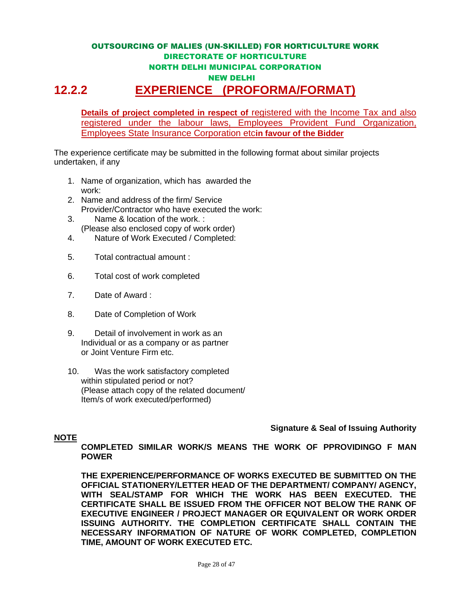#### OUTSOURCING OF MALIES (UN-SKILLED) FOR HORTICULTURE WORK DIRECTORATE OF HORTICULTURE NORTH DELHI MUNICIPAL CORPORATION NEW DELHI **12.2.2 EXPERIENCE (PROFORMA/FORMAT)**

**Details of project completed in respect of** registered with the Income Tax and also registered under the labour laws, Employees Provident Fund Organization, Employees State Insurance Corporation etc**in favour of the Bidder**

The experience certificate may be submitted in the following format about similar projects undertaken, if any

- 1. Name of organization, which has awarded the work:
- 2. Name and address of the firm/ Service Provider/Contractor who have executed the work:
- 3. Name & location of the work. : (Please also enclosed copy of work order)
- 4. Nature of Work Executed / Completed:
- 5. Total contractual amount :
- 6. Total cost of work completed
- 7. Date of Award :
- 8. Date of Completion of Work
- 9. Detail of involvement in work as an Individual or as a company or as partner or Joint Venture Firm etc.
- 10. Was the work satisfactory completed within stipulated period or not? (Please attach copy of the related document/ Item/s of work executed/performed)

**Signature & Seal of Issuing Authority**

#### **NOTE**

**COMPLETED SIMILAR WORK/S MEANS THE WORK OF PPROVIDINGO F MAN POWER**

**THE EXPERIENCE/PERFORMANCE OF WORKS EXECUTED BE SUBMITTED ON THE OFFICIAL STATIONERY/LETTER HEAD OF THE DEPARTMENT/ COMPANY/ AGENCY, WITH SEAL/STAMP FOR WHICH THE WORK HAS BEEN EXECUTED. THE CERTIFICATE SHALL BE ISSUED FROM THE OFFICER NOT BELOW THE RANK OF EXECUTIVE ENGINEER / PROJECT MANAGER OR EQUIVALENT OR WORK ORDER ISSUING AUTHORITY. THE COMPLETION CERTIFICATE SHALL CONTAIN THE NECESSARY INFORMATION OF NATURE OF WORK COMPLETED, COMPLETION TIME, AMOUNT OF WORK EXECUTED ETC.**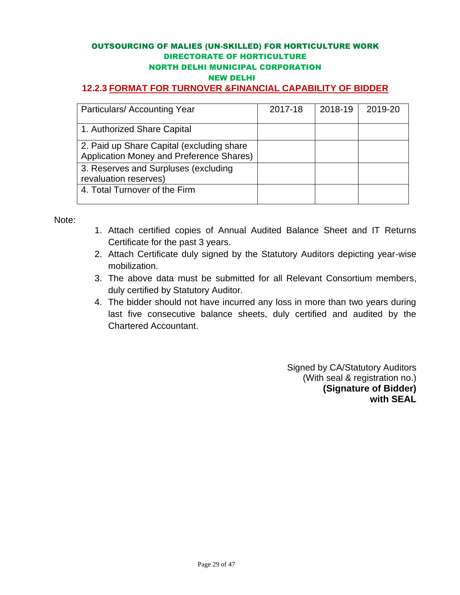#### **12.2.3 FORMAT FOR TURNOVER &FINANCIAL CAPABILITY OF BIDDER**

| Particulars/Accounting Year                                                            | 2017-18 | 2018-19 | 2019-20 |
|----------------------------------------------------------------------------------------|---------|---------|---------|
| 1. Authorized Share Capital                                                            |         |         |         |
| 2. Paid up Share Capital (excluding share)<br>Application Money and Preference Shares) |         |         |         |
| 3. Reserves and Surpluses (excluding<br>revaluation reserves)                          |         |         |         |
| 4. Total Turnover of the Firm                                                          |         |         |         |

Note:

- 1. Attach certified copies of Annual Audited Balance Sheet and IT Returns Certificate for the past 3 years.
- 2. Attach Certificate duly signed by the Statutory Auditors depicting year-wise mobilization.
- 3. The above data must be submitted for all Relevant Consortium members, duly certified by Statutory Auditor.
- 4. The bidder should not have incurred any loss in more than two years during last five consecutive balance sheets, duly certified and audited by the Chartered Accountant.

 Signed by CA/Statutory Auditors (With seal & registration no.) **(Signature of Bidder) with SEAL**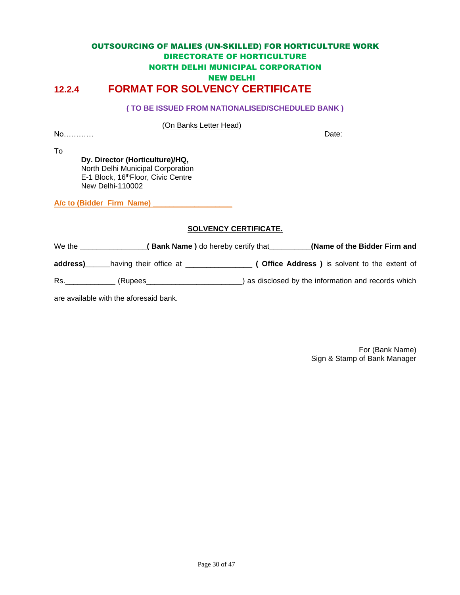#### OUTSOURCING OF MALIES (UN-SKILLED) FOR HORTICULTURE WORK DIRECTORATE OF HORTICULTURE NORTH DELHI MUNICIPAL CORPORATION NEW DELHI **12.2.4 FORMAT FOR SOLVENCY CERTIFICATE**

#### **( TO BE ISSUED FROM NATIONALISED/SCHEDULED BANK )**

(On Banks Letter Head)

No………… Date:

To

**Dy. Director (Horticulture)/HQ,** North Delhi Municipal Corporation E-1 Block, 16th Floor, Civic Centre New Delhi-110002

A/c to (Bidder Firm Name)

#### **SOLVENCY CERTIFICATE.**

We the \_\_\_\_\_\_\_\_\_\_\_\_\_\_\_\_**( Bank Name )** do hereby certify that\_\_\_\_\_\_\_\_\_\_**(Name of the Bidder Firm and address)\_\_\_\_\_\_**having their office at \_\_\_\_\_\_\_\_\_\_\_\_\_\_\_\_ **( Office Address )** is solvent to the extent of

Rs.\_\_\_\_\_\_\_\_\_\_\_\_ (Rupees\_\_\_\_\_\_\_\_\_\_\_\_\_\_\_\_\_\_\_\_\_\_\_) as disclosed by the information and records which

are available with the aforesaid bank.

For (Bank Name) Sign & Stamp of Bank Manager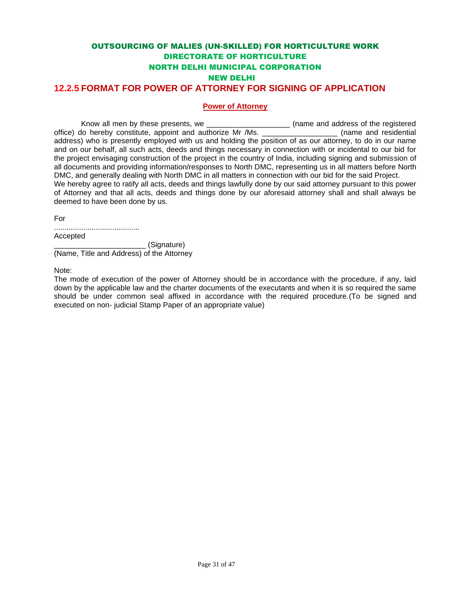#### OUTSOURCING OF MALIES (UN-SKILLED) FOR HORTICULTURE WORK DIRECTORATE OF HORTICULTURE NORTH DELHI MUNICIPAL CORPORATION NEW DELHI **12.2.5 FORMAT FOR POWER OF ATTORNEY FOR SIGNING OF APPLICATION**

#### **Power of Attorney**

Know all men by these presents, we \_\_\_\_\_\_\_\_\_\_\_\_\_\_\_\_\_\_\_\_\_\_\_\_\_\_(name and address of the registered<br>lo hereby constitute, appoint and authorize Mr /Ms. office) do hereby constitute, appoint and authorize Mr /Ms. address) who is presently employed with us and holding the position of as our attorney, to do in our name and on our behalf, all such acts, deeds and things necessary in connection with or incidental to our bid for the project envisaging construction of the project in the country of India, including signing and submission of all documents and providing information/responses to North DMC, representing us in all matters before North DMC, and generally dealing with North DMC in all matters in connection with our bid for the said Project. We hereby agree to ratify all acts, deeds and things lawfully done by our said attorney pursuant to this power of Attorney and that all acts, deeds and things done by our aforesaid attorney shall and shall always be deemed to have been done by us.

For

| Accepted |  |  |  |
|----------|--|--|--|

\_\_\_\_\_\_\_\_\_\_\_\_\_\_\_\_\_\_\_\_\_\_ (Signature) (Name, Title and Address) of the Attorney

Note:

The mode of execution of the power of Attorney should be in accordance with the procedure, if any, laid down by the applicable law and the charter documents of the executants and when it is so required the same should be under common seal affixed in accordance with the required procedure.(To be signed and executed on non- judicial Stamp Paper of an appropriate value)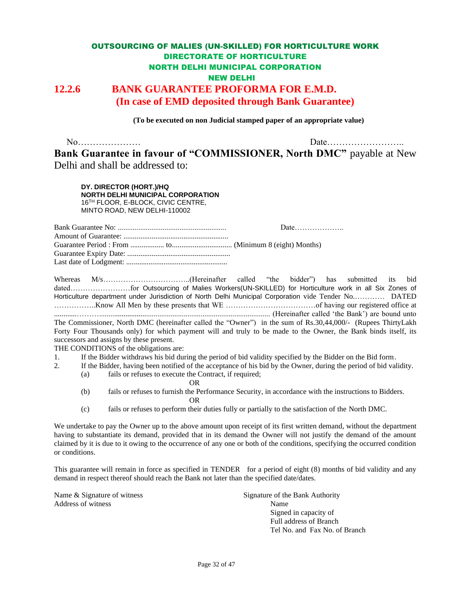#### OUTSOURCING OF MALIES (UN-SKILLED) FOR HORTICULTURE WORK DIRECTORATE OF HORTICULTURE NORTH DELHI MUNICIPAL CORPORATION NEW DELHI **12.2.6 BANK GUARANTEE PROFORMA FOR E.M.D. (In case of EMD deposited through Bank Guarantee)**

**(To be executed on non Judicial stamped paper of an appropriate value)**

No………………… Date…………………….. **Bank Guarantee in favour of "COMMISSIONER, North DMC"** payable at New Delhi and shall be addressed to:

**DY. DIRECTOR (HORT.)/HQ NORTH DELHI MUNICIPAL CORPORATION** 16TH FLOOR, E-BLOCK, CIVIC CENTRE, MINTO ROAD, NEW DELHI-110002

Bank Guarantee No: .......................................................... Date……………….. Amount of Guarantee: ........................................................ Guarantee Period : From .................. to................................ (Minimum 8 (eight) Months) Guarantee Expiry Date: ....................................................... Last date of Lodgment: ......................................................

Whereas M/s……………………………..(Hereinafter called "the bidder") has submitted its bid dated……………………for Outsourcing of Malies Workers(UN-SKILLED) for Horticulture work in all Six Zones of Horticulture department under Jurisdiction of North Delhi Municipal Corporation vide Tender No.………… DATED ……………..Know All Men by these presents that WE ………………………………of having our registered office at ............………........................................................................................... (Hereinafter called 'the Bank') are bound unto The Commissioner, North DMC (hereinafter called the "Owner") in the sum of Rs.30,44,000/- (Rupees ThirtyLakh Forty Four Thousands only) for which payment will and truly to be made to the Owner, the Bank binds itself, its successors and assigns by these present.

THE CONDITIONS of the obligations are:

- 1. If the Bidder withdraws his bid during the period of bid validity specified by the Bidder on the Bid form.
- 2. If the Bidder, having been notified of the acceptance of his bid by the Owner, during the period of bid validity.
	- (a) fails or refuses to execute the Contract, if required;

OR

- (b) fails or refuses to furnish the Performance Security, in accordance with the instructions to Bidders. OR
- (c) fails or refuses to perform their duties fully or partially to the satisfaction of the North DMC.

We undertake to pay the Owner up to the above amount upon receipt of its first written demand, without the department having to substantiate its demand, provided that in its demand the Owner will not justify the demand of the amount claimed by it is due to it owing to the occurrence of any one or both of the conditions, specifying the occurred condition or conditions.

This guarantee will remain in force as specified in TENDER for a period of eight (8) months of bid validity and any demand in respect thereof should reach the Bank not later than the specified date/dates.

Name & Signature of witness Signature of the Bank Authority Address of witness Name

Signed in capacity of Full address of Branch Tel No. and Fax No. of Branch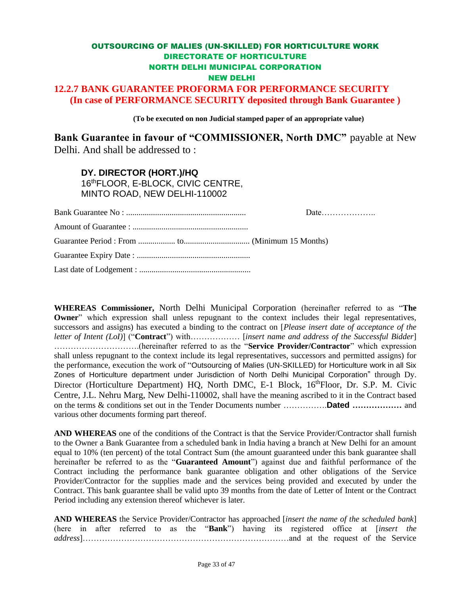#### **12.2.7 BANK GUARANTEE PROFORMA FOR PERFORMANCE SECURITY (In case of PERFORMANCE SECURITY deposited through Bank Guarantee )**

**(To be executed on non Judicial stamped paper of an appropriate value)**

**Bank Guarantee in favour of "COMMISSIONER, North DMC"** payable at New Delhi. And shall be addressed to :

**DY. DIRECTOR (HORT.)/HQ** 16thFLOOR, E-BLOCK, CIVIC CENTRE, MINTO ROAD, NEW DELHI-110002

**WHEREAS Commissioner,** North Delhi Municipal Corporation (hereinafter referred to as "**The Owner**" which expression shall unless repugnant to the context includes their legal representatives, successors and assigns) has executed a binding to the contract on [*Please insert date of acceptance of the letter of Intent (LoI)*] ("**Contract**") with……………… [*insert name and address of the Successful Bidder*] ………………………….(hereinafter referred to as the "**Service Provider/Contractor**" which expression shall unless repugnant to the context include its legal representatives, successors and permitted assigns) for the performance, execution the work of "Outsourcing of Malies (UN-SKILLED) for Horticulture work in all Six Zones of Horticulture department under Jurisdiction of North Delhi Municipal Corporation" through Dy. Director (Horticulture Department) HQ, North DMC, E-1 Block, 16<sup>th</sup>Floor, Dr. S.P. M. Civic Centre, J.L. Nehru Marg, New Delhi-110002, shall have the meaning ascribed to it in the Contract based on the terms & conditions set out in the Tender Documents number …………….**Dated ………………** and various other documents forming part thereof.

**AND WHEREAS** one of the conditions of the Contract is that the Service Provider/Contractor shall furnish to the Owner a Bank Guarantee from a scheduled bank in India having a branch at New Delhi for an amount equal to 10% (ten percent) of the total Contract Sum (the amount guaranteed under this bank guarantee shall hereinafter be referred to as the "**Guaranteed Amount**") against due and faithful performance of the Contract including the performance bank guarantee obligation and other obligations of the Service Provider/Contractor for the supplies made and the services being provided and executed by under the Contract. This bank guarantee shall be valid upto 39 months from the date of Letter of Intent or the Contract Period including any extension thereof whichever is later.

**AND WHEREAS** the Service Provider/Contractor has approached [*insert the name of the scheduled bank*] (here in after referred to as the "**Bank**") having its registered office at [*insert the address*]…………………………………………………………………and at the request of the Service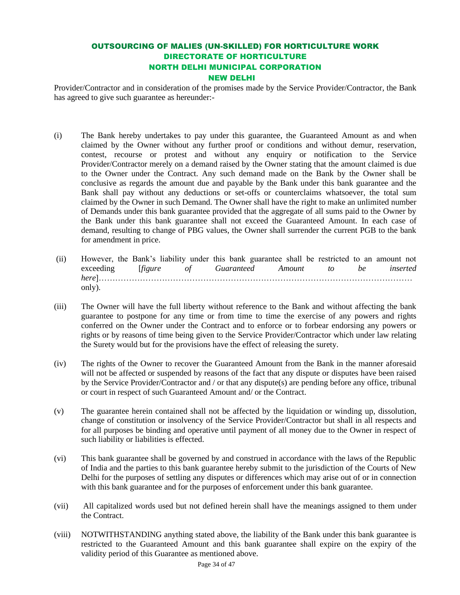Provider/Contractor and in consideration of the promises made by the Service Provider/Contractor, the Bank has agreed to give such guarantee as hereunder:-

- (i) The Bank hereby undertakes to pay under this guarantee, the Guaranteed Amount as and when claimed by the Owner without any further proof or conditions and without demur, reservation, contest, recourse or protest and without any enquiry or notification to the Service Provider/Contractor merely on a demand raised by the Owner stating that the amount claimed is due to the Owner under the Contract. Any such demand made on the Bank by the Owner shall be conclusive as regards the amount due and payable by the Bank under this bank guarantee and the Bank shall pay without any deductions or set-offs or counterclaims whatsoever, the total sum claimed by the Owner in such Demand. The Owner shall have the right to make an unlimited number of Demands under this bank guarantee provided that the aggregate of all sums paid to the Owner by the Bank under this bank guarantee shall not exceed the Guaranteed Amount. In each case of demand, resulting to change of PBG values, the Owner shall surrender the current PGB to the bank for amendment in price.
- (ii) However, the Bank's liability under this bank guarantee shall be restricted to an amount not exceeding [*figure of Guaranteed Amount to be inserted here*]…………………………………………………………………………………………………… only).
- (iii) The Owner will have the full liberty without reference to the Bank and without affecting the bank guarantee to postpone for any time or from time to time the exercise of any powers and rights conferred on the Owner under the Contract and to enforce or to forbear endorsing any powers or rights or by reasons of time being given to the Service Provider/Contractor which under law relating the Surety would but for the provisions have the effect of releasing the surety.
- (iv) The rights of the Owner to recover the Guaranteed Amount from the Bank in the manner aforesaid will not be affected or suspended by reasons of the fact that any dispute or disputes have been raised by the Service Provider/Contractor and / or that any dispute(s) are pending before any office, tribunal or court in respect of such Guaranteed Amount and/ or the Contract.
- (v) The guarantee herein contained shall not be affected by the liquidation or winding up, dissolution, change of constitution or insolvency of the Service Provider/Contractor but shall in all respects and for all purposes be binding and operative until payment of all money due to the Owner in respect of such liability or liabilities is effected.
- (vi) This bank guarantee shall be governed by and construed in accordance with the laws of the Republic of India and the parties to this bank guarantee hereby submit to the jurisdiction of the Courts of New Delhi for the purposes of settling any disputes or differences which may arise out of or in connection with this bank guarantee and for the purposes of enforcement under this bank guarantee.
- (vii) All capitalized words used but not defined herein shall have the meanings assigned to them under the Contract.
- (viii) NOTWITHSTANDING anything stated above, the liability of the Bank under this bank guarantee is restricted to the Guaranteed Amount and this bank guarantee shall expire on the expiry of the validity period of this Guarantee as mentioned above.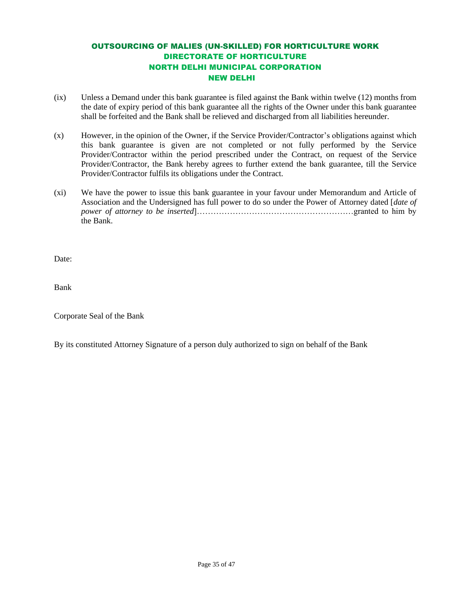- (ix) Unless a Demand under this bank guarantee is filed against the Bank within twelve (12) months from the date of expiry period of this bank guarantee all the rights of the Owner under this bank guarantee shall be forfeited and the Bank shall be relieved and discharged from all liabilities hereunder.
- (x) However, in the opinion of the Owner, if the Service Provider/Contractor's obligations against which this bank guarantee is given are not completed or not fully performed by the Service Provider/Contractor within the period prescribed under the Contract, on request of the Service Provider/Contractor, the Bank hereby agrees to further extend the bank guarantee, till the Service Provider/Contractor fulfils its obligations under the Contract.
- (xi) We have the power to issue this bank guarantee in your favour under Memorandum and Article of Association and the Undersigned has full power to do so under the Power of Attorney dated [*date of power of attorney to be inserted*]…………………………………………………granted to him by the Bank.

Date:

Bank

Corporate Seal of the Bank

By its constituted Attorney Signature of a person duly authorized to sign on behalf of the Bank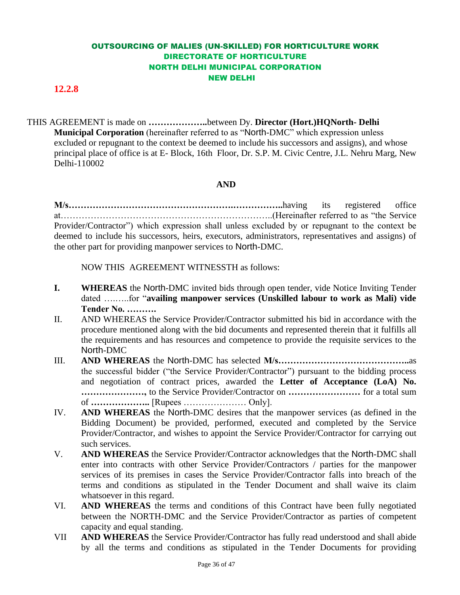#### **12.2.8**

THIS AGREEMENT is made on **………………..**between Dy. **Director (Hort.)HQNorth- Delhi Municipal Corporation** (hereinafter referred to as "North-DMC" which expression unless excluded or repugnant to the context be deemed to include his successors and assigns), and whose principal place of office is at E- Block, 16th Floor, Dr. S.P. M. Civic Centre, J.L. Nehru Marg, New Delhi-110002

#### **AND**

**M/s……………………………………………….……………..**having its registered office at……………………………………………………………..(Hereinafter referred to as "the Service Provider/Contractor") which expression shall unless excluded by or repugnant to the context be deemed to include his successors, heirs, executors, administrators, representatives and assigns) of the other part for providing manpower services to North-DMC.

NOW THIS AGREEMENT WITNESSTH as follows:

- **I.** WHEREAS the North-DMC invited bids through open tender, vide Notice Inviting Tender dated ….…..for "**availing manpower services (Unskilled labour to work as Mali) vide Tender No. ……….**
- II. AND WHEREAS the Service Provider/Contractor submitted his bid in accordance with the procedure mentioned along with the bid documents and represented therein that it fulfills all the requirements and has resources and competence to provide the requisite services to the North-DMC
- III. **AND WHEREAS** the North-DMC has selected **M/s……………………………………..**as the successful bidder ("the Service Provider/Contractor") pursuant to the bidding process and negotiation of contract prices, awarded the **Letter of Acceptance (LoA) No. …………………,** to the Service Provider/Contractor on **……………………** for a total sum of **………………..** [Rupees ………………… Only].
- IV. **AND WHEREAS** the North-DMC desires that the manpower services (as defined in the Bidding Document) be provided, performed, executed and completed by the Service Provider/Contractor, and wishes to appoint the Service Provider/Contractor for carrying out such services.
- V. **AND WHEREAS** the Service Provider/Contractor acknowledges that the North-DMC shall enter into contracts with other Service Provider/Contractors / parties for the manpower services of its premises in cases the Service Provider/Contractor falls into breach of the terms and conditions as stipulated in the Tender Document and shall waive its claim whatsoever in this regard.
- VI. **AND WHEREAS** the terms and conditions of this Contract have been fully negotiated between the NORTH-DMC and the Service Provider/Contractor as parties of competent capacity and equal standing.
- VII **AND WHEREAS** the Service Provider/Contractor has fully read understood and shall abide by all the terms and conditions as stipulated in the Tender Documents for providing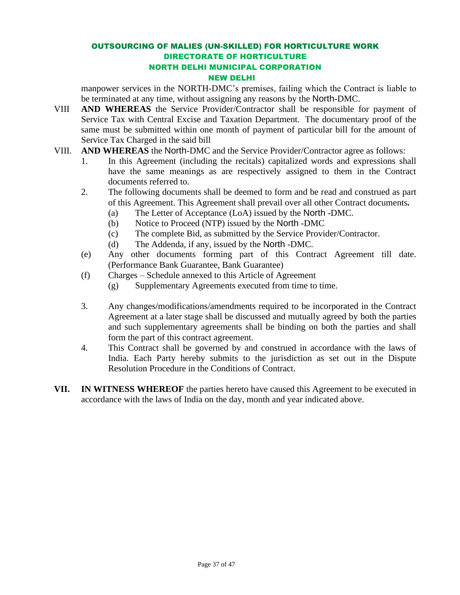manpower services in the NORTH-DMC's premises, failing which the Contract is liable to be terminated at any time, without assigning any reasons by the North-DMC.

- VIII **AND WHEREAS** the Service Provider/Contractor shall be responsible for payment of Service Tax with Central Excise and Taxation Department. The documentary proof of the same must be submitted within one month of payment of particular bill for the amount of Service Tax Charged in the said bill
- VIII. **AND WHEREAS** the North-DMC and the Service Provider/Contractor agree as follows:
	- 1. In this Agreement (including the recitals) capitalized words and expressions shall have the same meanings as are respectively assigned to them in the Contract documents referred to.
	- 2. The following documents shall be deemed to form and be read and construed as part of this Agreement. This Agreement shall prevail over all other Contract documents*.*
		- (a) The Letter of Acceptance (LoA) issued by the North -DMC.
		- (b) Notice to Proceed (NTP) issued by the North -DMC
		- (c) The complete Bid, as submitted by the Service Provider/Contractor.
		- (d) The Addenda, if any, issued by the North -DMC.
	- (e) Any other documents forming part of this Contract Agreement till date. (Performance Bank Guarantee, Bank Guarantee)
	- (f) Charges Schedule annexed to this Article of Agreement
		- (g) Supplementary Agreements executed from time to time.
	- 3. Any changes/modifications/amendments required to be incorporated in the Contract Agreement at a later stage shall be discussed and mutually agreed by both the parties and such supplementary agreements shall be binding on both the parties and shall form the part of this contract agreement.
	- 4. This Contract shall be governed by and construed in accordance with the laws of India. Each Party hereby submits to the jurisdiction as set out in the Dispute Resolution Procedure in the Conditions of Contract.
- **VII. IN WITNESS WHEREOF** the parties hereto have caused this Agreement to be executed in accordance with the laws of India on the day, month and year indicated above.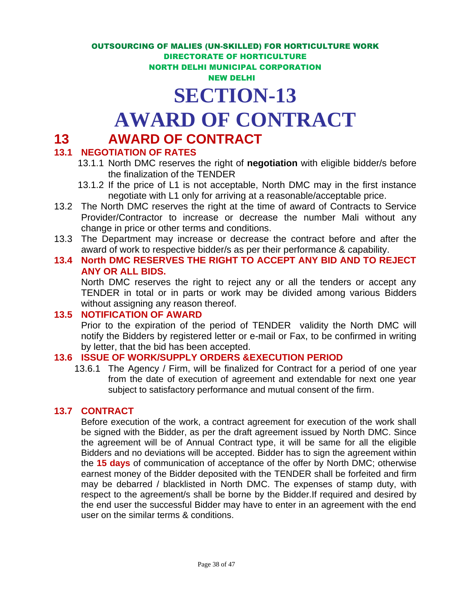## **SECTION-13**

## **AWARD OF CONTRACT**

## **13 AWARD OF CONTRACT**

#### **13.1 NEGOTIATION OF RATES**

- 13.1.1 North DMC reserves the right of **negotiation** with eligible bidder/s before the finalization of the TENDER
- 13.1.2 If the price of L1 is not acceptable, North DMC may in the first instance negotiate with L1 only for arriving at a reasonable/acceptable price.
- 13.2 The North DMC reserves the right at the time of award of Contracts to Service Provider/Contractor to increase or decrease the number Mali without any change in price or other terms and conditions.
- 13.3 The Department may increase or decrease the contract before and after the award of work to respective bidder/s as per their performance & capability.
- **13.4 North DMC RESERVES THE RIGHT TO ACCEPT ANY BID AND TO REJECT ANY OR ALL BIDS.**

North DMC reserves the right to reject any or all the tenders or accept any TENDER in total or in parts or work may be divided among various Bidders without assigning any reason thereof.

#### **13.5 NOTIFICATION OF AWARD**

Prior to the expiration of the period of TENDER validity the North DMC will notify the Bidders by registered letter or e-mail or Fax, to be confirmed in writing by letter, that the bid has been accepted.

#### **13.6 ISSUE OF WORK/SUPPLY ORDERS &EXECUTION PERIOD**

13.6.1 The Agency / Firm, will be finalized for Contract for a period of one year from the date of execution of agreement and extendable for next one year subject to satisfactory performance and mutual consent of the firm.

#### **13.7 CONTRACT**

Before execution of the work, a contract agreement for execution of the work shall be signed with the Bidder, as per the draft agreement issued by North DMC. Since the agreement will be of Annual Contract type, it will be same for all the eligible Bidders and no deviations will be accepted. Bidder has to sign the agreement within the **15 days** of communication of acceptance of the offer by North DMC; otherwise earnest money of the Bidder deposited with the TENDER shall be forfeited and firm may be debarred / blacklisted in North DMC. The expenses of stamp duty, with respect to the agreement/s shall be borne by the Bidder.If required and desired by the end user the successful Bidder may have to enter in an agreement with the end user on the similar terms & conditions.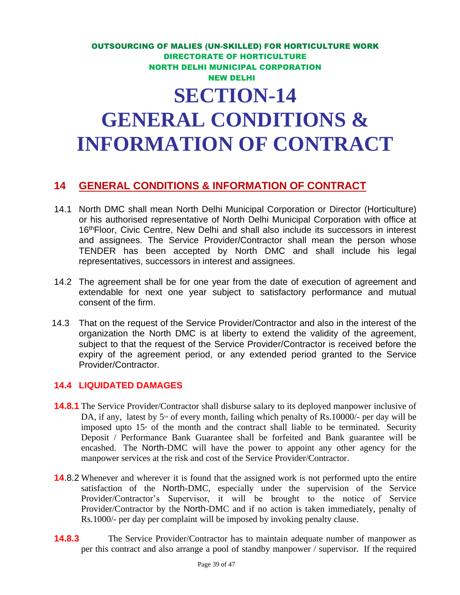## OUTSOURCING OF MALIES (UN-SKILLED) FOR HORTICULTURE WORK DIRECTORATE OF HORTICULTURE NORTH DELHI MUNICIPAL CORPORATION NEW DELHI **SECTION-14 GENERAL CONDITIONS & INFORMATION OF CONTRACT**

#### **14 GENERAL CONDITIONS & INFORMATION OF CONTRACT**

- 14.1 North DMC shall mean North Delhi Municipal Corporation or Director (Horticulture) or his authorised representative of North Delhi Municipal Corporation with office at 16<sup>th</sup>Floor, Civic Centre, New Delhi and shall also include its successors in interest and assignees. The Service Provider/Contractor shall mean the person whose TENDER has been accepted by North DMC and shall include his legal representatives, successors in interest and assignees.
- 14.2 The agreement shall be for one year from the date of execution of agreement and extendable for next one year subject to satisfactory performance and mutual consent of the firm.
- 14.3 That on the request of the Service Provider/Contractor and also in the interest of the organization the North DMC is at liberty to extend the validity of the agreement, subject to that the request of the Service Provider/Contractor is received before the expiry of the agreement period, or any extended period granted to the Service Provider/Contractor.

#### **14.4 LIQUIDATED DAMAGES**

- **14.8.1** The Service Provider/Contractor shall disburse salary to its deployed manpower inclusive of DA, if any, latest by  $5<sup>m</sup>$  of every month, failing which penalty of Rs.10000/- per day will be imposed upto  $15<sup>*</sup>$  of the month and the contract shall liable to be terminated. Security Deposit / Performance Bank Guarantee shall be forfeited and Bank guarantee will be encashed. The North-DMC will have the power to appoint any other agency for the manpower services at the risk and cost of the Service Provider/Contractor.
- **14**.8.2 Whenever and wherever it is found that the assigned work is not performed upto the entire satisfaction of the North-DMC, especially under the supervision of the Service Provider/Contractor's Supervisor, it will be brought to the notice of Service Provider/Contractor by the North-DMC and if no action is taken immediately, penalty of Rs.1000/- per day per complaint will be imposed by invoking penalty clause.
- **14.8.3** The Service Provider/Contractor has to maintain adequate number of manpower as per this contract and also arrange a pool of standby manpower / supervisor. If the required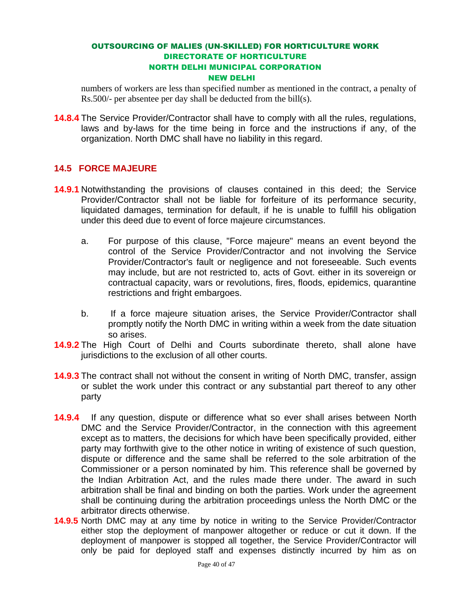numbers of workers are less than specified number as mentioned in the contract, a penalty of Rs.500/- per absentee per day shall be deducted from the bill(s).

**14.8.4** The Service Provider/Contractor shall have to comply with all the rules, regulations, laws and by-laws for the time being in force and the instructions if any, of the organization. North DMC shall have no liability in this regard.

#### **14.5 FORCE MAJEURE**

- **14.9.1** Notwithstanding the provisions of clauses contained in this deed; the Service Provider/Contractor shall not be liable for forfeiture of its performance security, liquidated damages, termination for default, if he is unable to fulfill his obligation under this deed due to event of force majeure circumstances.
	- a. For purpose of this clause, "Force majeure" means an event beyond the control of the Service Provider/Contractor and not involving the Service Provider/Contractor's fault or negligence and not foreseeable. Such events may include, but are not restricted to, acts of Govt. either in its sovereign or contractual capacity, wars or revolutions, fires, floods, epidemics, quarantine restrictions and fright embargoes.
	- b. If a force majeure situation arises, the Service Provider/Contractor shall promptly notify the North DMC in writing within a week from the date situation so arises.
- **14.9.2** The High Court of Delhi and Courts subordinate thereto, shall alone have jurisdictions to the exclusion of all other courts.
- **14.9.3** The contract shall not without the consent in writing of North DMC, transfer, assign or sublet the work under this contract or any substantial part thereof to any other party
- **14.9.4** If any question, dispute or difference what so ever shall arises between North DMC and the Service Provider/Contractor, in the connection with this agreement except as to matters, the decisions for which have been specifically provided, either party may forthwith give to the other notice in writing of existence of such question, dispute or difference and the same shall be referred to the sole arbitration of the Commissioner or a person nominated by him. This reference shall be governed by the Indian Arbitration Act, and the rules made there under. The award in such arbitration shall be final and binding on both the parties. Work under the agreement shall be continuing during the arbitration proceedings unless the North DMC or the arbitrator directs otherwise.
- **14.9.5** North DMC may at any time by notice in writing to the Service Provider/Contractor either stop the deployment of manpower altogether or reduce or cut it down. If the deployment of manpower is stopped all together, the Service Provider/Contractor will only be paid for deployed staff and expenses distinctly incurred by him as on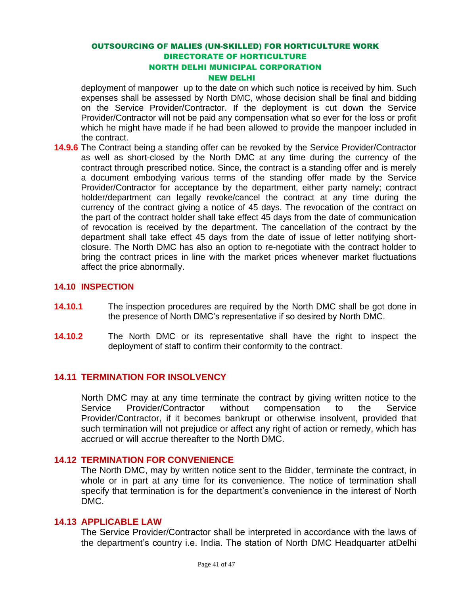deployment of manpower up to the date on which such notice is received by him. Such expenses shall be assessed by North DMC, whose decision shall be final and bidding on the Service Provider/Contractor. If the deployment is cut down the Service Provider/Contractor will not be paid any compensation what so ever for the loss or profit which he might have made if he had been allowed to provide the manpoer included in the contract.

**14.9.6** The Contract being a standing offer can be revoked by the Service Provider/Contractor as well as short-closed by the North DMC at any time during the currency of the contract through prescribed notice. Since, the contract is a standing offer and is merely a document embodying various terms of the standing offer made by the Service Provider/Contractor for acceptance by the department, either party namely; contract holder/department can legally revoke/cancel the contract at any time during the currency of the contract giving a notice of 45 days. The revocation of the contract on the part of the contract holder shall take effect 45 days from the date of communication of revocation is received by the department. The cancellation of the contract by the department shall take effect 45 days from the date of issue of letter notifying shortclosure. The North DMC has also an option to re-negotiate with the contract holder to bring the contract prices in line with the market prices whenever market fluctuations affect the price abnormally.

#### **14.10 INSPECTION**

- **14.10.1** The inspection procedures are required by the North DMC shall be got done in the presence of North DMC's representative if so desired by North DMC.
- **14.10.2** The North DMC or its representative shall have the right to inspect the deployment of staff to confirm their conformity to the contract.

#### **14.11 TERMINATION FOR INSOLVENCY**

North DMC may at any time terminate the contract by giving written notice to the Service Provider/Contractor without compensation to the Service Provider/Contractor, if it becomes bankrupt or otherwise insolvent, provided that such termination will not prejudice or affect any right of action or remedy, which has accrued or will accrue thereafter to the North DMC.

#### **14.12 TERMINATION FOR CONVENIENCE**

The North DMC, may by written notice sent to the Bidder, terminate the contract, in whole or in part at any time for its convenience. The notice of termination shall specify that termination is for the department's convenience in the interest of North DMC.

#### **14.13 APPLICABLE LAW**

The Service Provider/Contractor shall be interpreted in accordance with the laws of the department's country i.e. India. The station of North DMC Headquarter atDelhi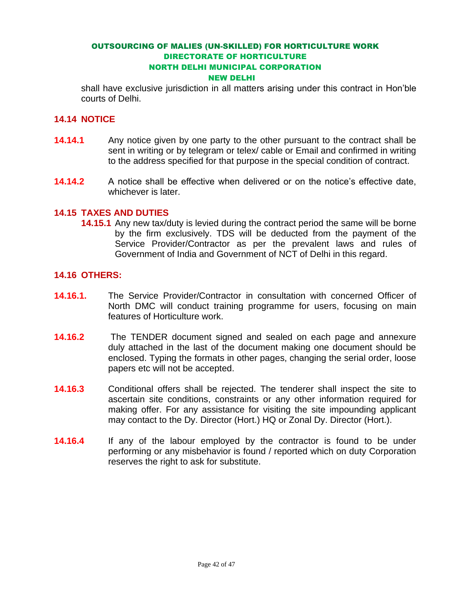shall have exclusive jurisdiction in all matters arising under this contract in Hon'ble courts of Delhi.

#### **14.14 NOTICE**

- **14.14.1** •• Any notice given by one party to the other pursuant to the contract shall be sent in writing or by telegram or telex/ cable or Email and confirmed in writing to the address specified for that purpose in the special condition of contract.
- **14.14.2** A notice shall be effective when delivered or on the notice's effective date, whichever is later.

#### **14.15 TAXES AND DUTIES**

**14.15.1** Any new tax/duty is levied during the contract period the same will be borne by the firm exclusively. TDS will be deducted from the payment of the Service Provider/Contractor as per the prevalent laws and rules of Government of India and Government of NCT of Delhi in this regard.

#### **14.16 OTHERS:**

- **14.16.1.** The Service Provider/Contractor in consultation with concerned Officer of North DMC will conduct training programme for users, focusing on main features of Horticulture work.
- **14.16.2** The TENDER document signed and sealed on each page and annexure duly attached in the last of the document making one document should be enclosed. Typing the formats in other pages, changing the serial order, loose papers etc will not be accepted.
- **14.16.3** Conditional offers shall be rejected. The tenderer shall inspect the site to ascertain site conditions, constraints or any other information required for making offer. For any assistance for visiting the site impounding applicant may contact to the Dy. Director (Hort.) HQ or Zonal Dy. Director (Hort.).
- **14.16.4** If any of the labour employed by the contractor is found to be under performing or any misbehavior is found / reported which on duty Corporation reserves the right to ask for substitute.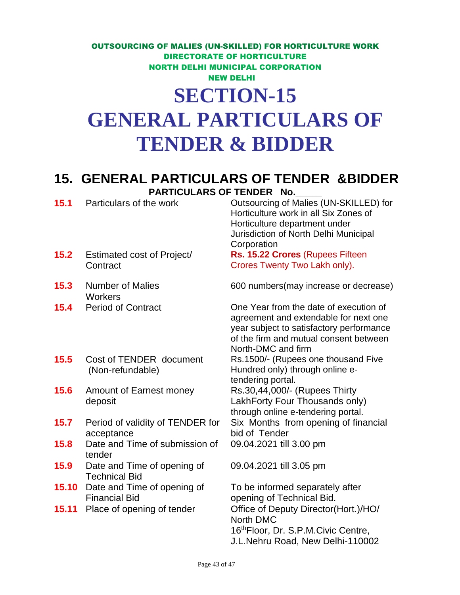## **GENERAL PARTICULARS OF TENDER & BIDDER**

### **15. GENERAL PARTICULARS OF TENDER &BIDDER**  PARTICULARS OF TENDER No.

**15.1** Particulars of the work **Outsourcing of Malies (UN-SKILLED)** for Horticulture work in all Six Zones of Horticulture department under Jurisdiction of North Delhi Municipal **Corporation 15.2** Estimated cost of Project/ **Contract Rs. 15.22 Crores** (Rupees Fifteen Crores Twenty Two Lakh only). **15.3** Number of Malies **Workers** 600 numbers(may increase or decrease) **15.4** Period of Contract One Year from the date of execution of agreement and extendable for next one year subject to satisfactory performance of the firm and mutual consent between North-DMC and firm **15.5** Cost of TENDER document (Non-refundable) Rs.1500/- (Rupees one thousand Five Hundred only) through online etendering portal. **15.6** Amount of Earnest money deposit Rs.30,44,000/- (Rupees Thirty LakhForty Four Thousands only) through online e-tendering portal. **15.7** Period of validity of TENDER for acceptance Six Months from opening of financial bid of Tender **15.8** Date and Time of submission of tender 09.04.2021 till 3.00 pm **15.9** Date and Time of opening of Technical Bid 09.04.2021 till 3.05 pm

**15.10** Date and Time of opening of Financial Bid

To be informed separately after opening of Technical Bid. **15.11** Place of opening of tender **Office of Deputy Director(Hort.)/HO/** North DMC 16thFloor, Dr. S.P.M.Civic Centre, J.L.Nehru Road, New Delhi-110002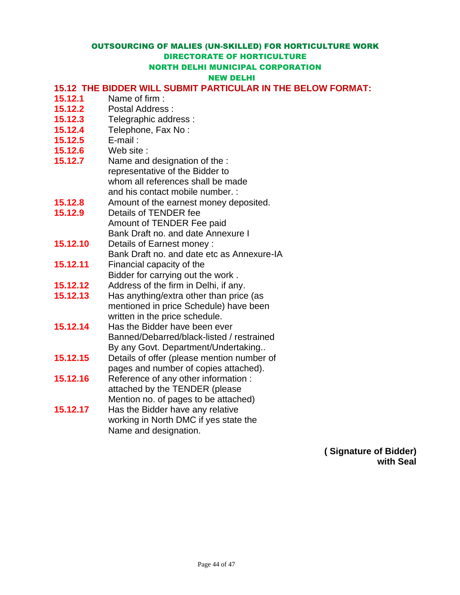#### NEW DELHI

#### **15.12 THE BIDDER WILL SUBMIT PARTICULAR IN THE BELOW FORMAT:**

- **15.12.1** Name of firm :
- **15.12.2** Postal Address :
- **15.12.3** Telegraphic address :
- **15.12.4** Telephone, Fax No :
- **15.12.5** E-mail :
- **15.12.6** Web site :
- **15.12.7** Name and designation of the : representative of the Bidder to whom all references shall be made and his contact mobile number. :
- **15.12.8** Amount of the earnest money deposited.
- **15.12.9** Details of TENDER fee Amount of TENDER Fee paid Bank Draft no. and date Annexure I
- **15.12.10** Details of Earnest money : Bank Draft no. and date etc as Annexure-IA
- **15.12.11** Financial capacity of the Bidder for carrying out the work .
- **15.12.12** Address of the firm in Delhi, if any.
- **15.12.13** Has anything/extra other than price (as mentioned in price Schedule) have been written in the price schedule.
- **15.12.14** Has the Bidder have been ever Banned/Debarred/black-listed / restrained By any Govt. Department/Undertaking..
- **15.12.15** Details of offer (please mention number of pages and number of copies attached).
- **15.12.16** Reference of any other information : attached by the TENDER (please Mention no. of pages to be attached)
- **15.12.17** Has the Bidder have any relative working in North DMC if yes state the Name and designation.

**( Signature of Bidder) with Seal**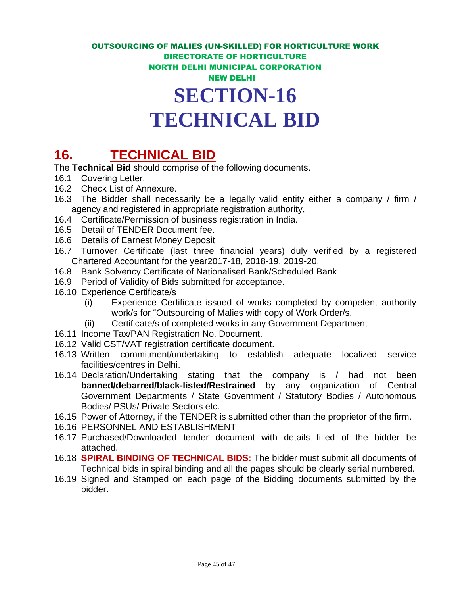## **TECHNICAL BID**

## **16. TECHNICAL BID**

The **Technical Bid** should comprise of the following documents.

- 16.1 Covering Letter.
- 16.2 Check List of Annexure.
- 16.3 The Bidder shall necessarily be a legally valid entity either a company / firm / agency and registered in appropriate registration authority.
- 16.4 Certificate/Permission of business registration in India.
- 16.5 Detail of TENDER Document fee.
- 16.6 Details of Earnest Money Deposit
- 16.7 Turnover Certificate (last three financial years) duly verified by a registered Chartered Accountant for the year2017-18, 2018-19, 2019-20.
- 16.8 Bank Solvency Certificate of Nationalised Bank/Scheduled Bank
- 16.9 Period of Validity of Bids submitted for acceptance.
- 16.10 Experience Certificate/s
	- (i) Experience Certificate issued of works completed by competent authority work/s for "Outsourcing of Malies with copy of Work Order/s.
	- (ii) Certificate/s of completed works in any Government Department
- 16.11 Income Tax/PAN Registration No. Document.
- 16.12 Valid CST/VAT registration certificate document.
- 16.13 Written commitment/undertaking to establish adequate localized service facilities/centres in Delhi.
- 16.14 Declaration/Undertaking stating that the company is / had not been **banned/debarred/black-listed/Restrained** by any organization of Central Government Departments / State Government / Statutory Bodies / Autonomous Bodies/ PSUs/ Private Sectors etc.
- 16.15 Power of Attorney, if the TENDER is submitted other than the proprietor of the firm.
- 16.16 PERSONNEL AND ESTABLISHMENT
- 16.17 Purchased/Downloaded tender document with details filled of the bidder be attached.
- 16.18 **SPIRAL BINDING OF TECHNICAL BIDS:** The bidder must submit all documents of Technical bids in spiral binding and all the pages should be clearly serial numbered.
- 16.19 Signed and Stamped on each page of the Bidding documents submitted by the bidder.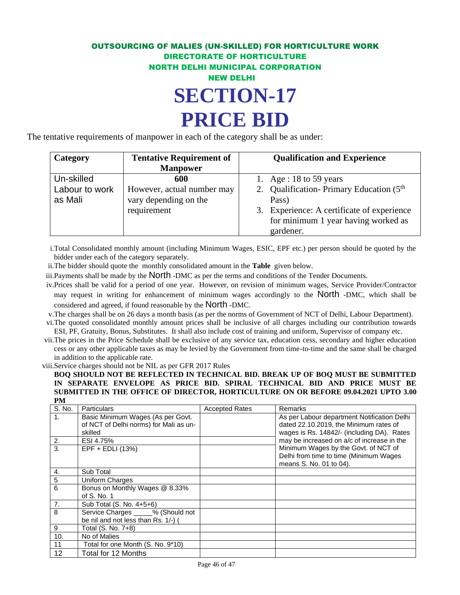The tentative requirements of manpower in each of the category shall be as under:

| Category       | <b>Tentative Requirement of</b> | <b>Qualification and Experience</b>                   |
|----------------|---------------------------------|-------------------------------------------------------|
|                | <b>Manpower</b>                 |                                                       |
| Un-skilled     | 600                             | 1. Age : 18 to 59 years                               |
| Labour to work | However, actual number may      | 2. Qualification-Primary Education (5 <sup>th</sup> ) |
| as Mali        | vary depending on the           | Pass)                                                 |
|                | requirement                     | 3. Experience: A certificate of experience            |
|                |                                 | for minimum 1 year having worked as                   |
|                |                                 | gardener.                                             |

i.Total Consolidated monthly amount (including Minimum Wages, ESIC, EPF etc.) per person should be quoted by the bidder under each of the category separately.

ii.The bidder should quote the monthly consolidated amount in the **Table** given below.

iii.Payments shall be made by the North -DMC as per the terms and conditions of the Tender Documents.

iv.Prices shall be valid for a period of one year. However, on revision of minimum wages, Service Provider/Contractor may request in writing for enhancement of minimum wages accordingly to the North -DMC, which shall be considered and agreed, if found reasonable by the North -DMC.

v.The charges shall be on 26 days a month basis (as per the norms of Government of NCT of Delhi, Labour Department).

- vi.The quoted consolidated monthly amount prices shall be inclusive of all charges including our contribution towards ESI, PF, Gratuity, Bonus, Substitutes. It shall also include cost of training and uniform, Supervisor of company etc.
- vii.The prices in the Price Schedule shall be exclusive of any service tax, education cess, secondary and higher education cess or any other applicable taxes as may be levied by the Government from time-to-time and the same shall be charged in addition to the applicable rate.

viii.Service charges should not be NIL as per GFR 2017 Rules

**BOQ SHOULD NOT BE REFLECTED IN TECHNICAL BID. BREAK UP OF BOQ MUST BE SUBMITTED IN SEPARATE ENVELOPE AS PRICE BID. SPIRAL TECHNICAL BID AND PRICE MUST BE SUBMITTED IN THE OFFICE OF DIRECTOR, HORTICULTURE ON OR BEFORE 09.04.2021 UPTO 3.00 PM**

| .<br>S. No.    | <b>Particulars</b>                                                                     | <b>Accepted Rates</b> | Remarks                                                                                                                             |
|----------------|----------------------------------------------------------------------------------------|-----------------------|-------------------------------------------------------------------------------------------------------------------------------------|
| $\mathbf{1}$ . | Basic Minimum Wages (As per Govt.<br>of NCT of Delhi norms) for Mali as un-<br>skilled |                       | As per Labour department Notification Delhi<br>dated 22.10.2019, the Minimum rates of<br>wages is Rs. 14842/- (including DA). Rates |
| 2.             | ESI 4.75%                                                                              |                       | may be increased on a/c of increase in the                                                                                          |
| 3.             | $EPF + EDLI$ (13%)                                                                     |                       | Minimum Wages by the Govt. of NCT of<br>Delhi from time to time (Minimum Wages<br>means S. No. 01 to 04).                           |
| 4.             | Sub Total                                                                              |                       |                                                                                                                                     |
| 5              | Uniform Charges                                                                        |                       |                                                                                                                                     |
| 6              | Bonus on Monthly Wages @ 8.33%<br>of S. No. 1                                          |                       |                                                                                                                                     |
| 7.             | Sub Total (S. No. 4+5+6)                                                               |                       |                                                                                                                                     |
| 8              | Service Charges _____% (Should not<br>be nil and not less than Rs. 1/-) (              |                       |                                                                                                                                     |
| 9              | Total (S. No. 7+8)                                                                     |                       |                                                                                                                                     |
| 10.            | No of Malies                                                                           |                       |                                                                                                                                     |
| 11             | Total for one Month (S. No. 9*10)                                                      |                       |                                                                                                                                     |
| 12             | Total for 12 Months                                                                    |                       |                                                                                                                                     |